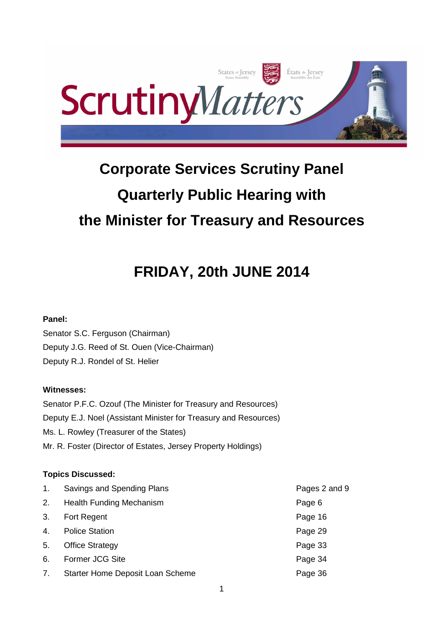

# **Corporate Services Scrutiny Panel Quarterly Public Hearing with the Minister for Treasury and Resources**

# **FRIDAY, 20th JUNE 2014**

# **Panel:**

Senator S.C. Ferguson (Chairman) Deputy J.G. Reed of St. Ouen (Vice-Chairman) Deputy R.J. Rondel of St. Helier

# **Witnesses:**

Senator P.F.C. Ozouf (The Minister for Treasury and Resources) Deputy E.J. Noel (Assistant Minister for Treasury and Resources) Ms. L. Rowley (Treasurer of the States) Mr. R. Foster (Director of Estates, Jersey Property Holdings)

# **Topics Discussed:**

| 1. | Savings and Spending Plans       | Pages 2 and 9 |
|----|----------------------------------|---------------|
| 2. | <b>Health Funding Mechanism</b>  | Page 6        |
| 3. | <b>Fort Regent</b>               | Page 16       |
| 4. | <b>Police Station</b>            | Page 29       |
| 5. | <b>Office Strategy</b>           | Page 33       |
| 6. | Former JCG Site                  | Page 34       |
| 7. | Starter Home Deposit Loan Scheme | Page 36       |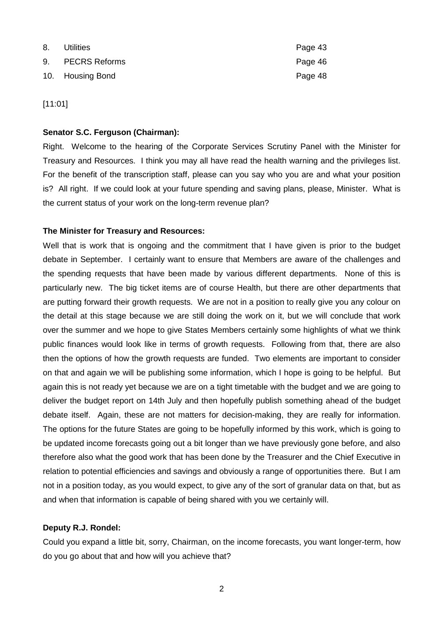| 8. | Utilities        | Page 43 |
|----|------------------|---------|
|    | 9. PECRS Reforms | Page 46 |
|    | 10. Housing Bond | Page 48 |

[11:01]

#### **Senator S.C. Ferguson (Chairman):**

Right. Welcome to the hearing of the Corporate Services Scrutiny Panel with the Minister for Treasury and Resources. I think you may all have read the health warning and the privileges list. For the benefit of the transcription staff, please can you say who you are and what your position is? All right. If we could look at your future spending and saving plans, please, Minister. What is the current status of your work on the long-term revenue plan?

## **The Minister for Treasury and Resources:**

Well that is work that is ongoing and the commitment that I have given is prior to the budget debate in September. I certainly want to ensure that Members are aware of the challenges and the spending requests that have been made by various different departments. None of this is particularly new. The big ticket items are of course Health, but there are other departments that are putting forward their growth requests. We are not in a position to really give you any colour on the detail at this stage because we are still doing the work on it, but we will conclude that work over the summer and we hope to give States Members certainly some highlights of what we think public finances would look like in terms of growth requests. Following from that, there are also then the options of how the growth requests are funded. Two elements are important to consider on that and again we will be publishing some information, which I hope is going to be helpful. But again this is not ready yet because we are on a tight timetable with the budget and we are going to deliver the budget report on 14th July and then hopefully publish something ahead of the budget debate itself. Again, these are not matters for decision-making, they are really for information. The options for the future States are going to be hopefully informed by this work, which is going to be updated income forecasts going out a bit longer than we have previously gone before, and also therefore also what the good work that has been done by the Treasurer and the Chief Executive in relation to potential efficiencies and savings and obviously a range of opportunities there. But I am not in a position today, as you would expect, to give any of the sort of granular data on that, but as and when that information is capable of being shared with you we certainly will.

## **Deputy R.J. Rondel:**

Could you expand a little bit, sorry, Chairman, on the income forecasts, you want longer-term, how do you go about that and how will you achieve that?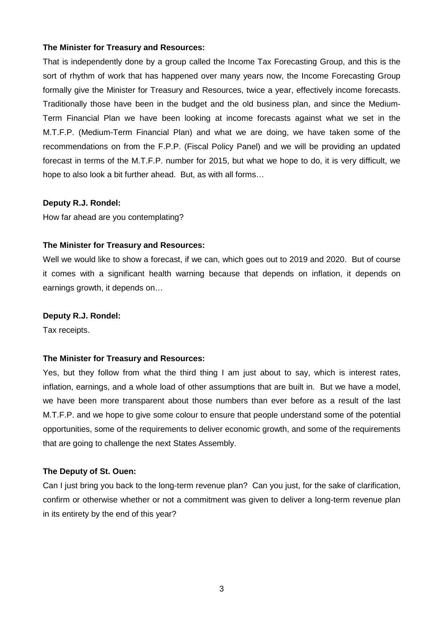That is independently done by a group called the Income Tax Forecasting Group, and this is the sort of rhythm of work that has happened over many years now, the Income Forecasting Group formally give the Minister for Treasury and Resources, twice a year, effectively income forecasts. Traditionally those have been in the budget and the old business plan, and since the Medium-Term Financial Plan we have been looking at income forecasts against what we set in the M.T.F.P. (Medium-Term Financial Plan) and what we are doing, we have taken some of the recommendations on from the F.P.P. (Fiscal Policy Panel) and we will be providing an updated forecast in terms of the M.T.F.P. number for 2015, but what we hope to do, it is very difficult, we hope to also look a bit further ahead. But, as with all forms…

#### **Deputy R.J. Rondel:**

How far ahead are you contemplating?

#### **The Minister for Treasury and Resources:**

Well we would like to show a forecast, if we can, which goes out to 2019 and 2020. But of course it comes with a significant health warning because that depends on inflation, it depends on earnings growth, it depends on…

#### **Deputy R.J. Rondel:**

Tax receipts.

## **The Minister for Treasury and Resources:**

Yes, but they follow from what the third thing I am just about to say, which is interest rates, inflation, earnings, and a whole load of other assumptions that are built in. But we have a model, we have been more transparent about those numbers than ever before as a result of the last M.T.F.P. and we hope to give some colour to ensure that people understand some of the potential opportunities, some of the requirements to deliver economic growth, and some of the requirements that are going to challenge the next States Assembly.

## **The Deputy of St. Ouen:**

Can I just bring you back to the long-term revenue plan? Can you just, for the sake of clarification, confirm or otherwise whether or not a commitment was given to deliver a long-term revenue plan in its entirety by the end of this year?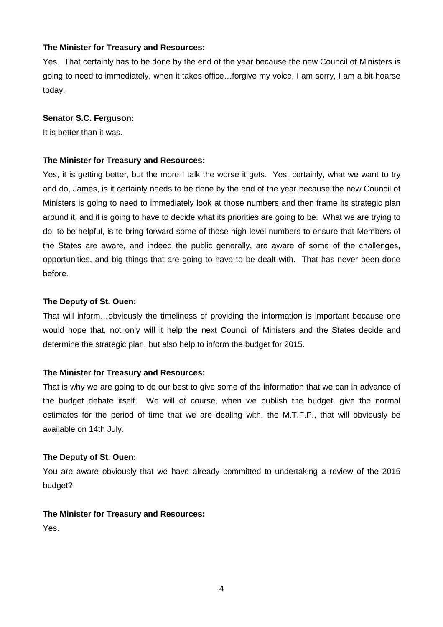Yes. That certainly has to be done by the end of the year because the new Council of Ministers is going to need to immediately, when it takes office…forgive my voice, I am sorry, I am a bit hoarse today.

#### **Senator S.C. Ferguson:**

It is better than it was.

#### **The Minister for Treasury and Resources:**

Yes, it is getting better, but the more I talk the worse it gets. Yes, certainly, what we want to try and do, James, is it certainly needs to be done by the end of the year because the new Council of Ministers is going to need to immediately look at those numbers and then frame its strategic plan around it, and it is going to have to decide what its priorities are going to be. What we are trying to do, to be helpful, is to bring forward some of those high-level numbers to ensure that Members of the States are aware, and indeed the public generally, are aware of some of the challenges, opportunities, and big things that are going to have to be dealt with. That has never been done before.

#### **The Deputy of St. Ouen:**

That will inform…obviously the timeliness of providing the information is important because one would hope that, not only will it help the next Council of Ministers and the States decide and determine the strategic plan, but also help to inform the budget for 2015.

## **The Minister for Treasury and Resources:**

That is why we are going to do our best to give some of the information that we can in advance of the budget debate itself. We will of course, when we publish the budget, give the normal estimates for the period of time that we are dealing with, the M.T.F.P., that will obviously be available on 14th July.

#### **The Deputy of St. Ouen:**

You are aware obviously that we have already committed to undertaking a review of the 2015 budget?

## **The Minister for Treasury and Resources:**

Yes.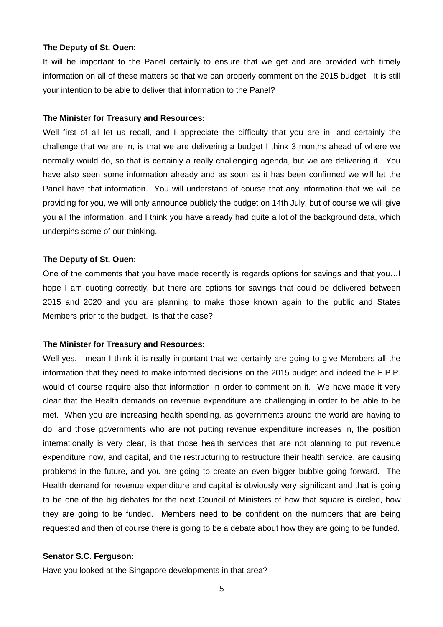#### **The Deputy of St. Ouen:**

It will be important to the Panel certainly to ensure that we get and are provided with timely information on all of these matters so that we can properly comment on the 2015 budget. It is still your intention to be able to deliver that information to the Panel?

#### **The Minister for Treasury and Resources:**

Well first of all let us recall, and I appreciate the difficulty that you are in, and certainly the challenge that we are in, is that we are delivering a budget I think 3 months ahead of where we normally would do, so that is certainly a really challenging agenda, but we are delivering it. You have also seen some information already and as soon as it has been confirmed we will let the Panel have that information. You will understand of course that any information that we will be providing for you, we will only announce publicly the budget on 14th July, but of course we will give you all the information, and I think you have already had quite a lot of the background data, which underpins some of our thinking.

#### **The Deputy of St. Ouen:**

One of the comments that you have made recently is regards options for savings and that you…I hope I am quoting correctly, but there are options for savings that could be delivered between 2015 and 2020 and you are planning to make those known again to the public and States Members prior to the budget. Is that the case?

#### **The Minister for Treasury and Resources:**

Well yes, I mean I think it is really important that we certainly are going to give Members all the information that they need to make informed decisions on the 2015 budget and indeed the F.P.P. would of course require also that information in order to comment on it. We have made it very clear that the Health demands on revenue expenditure are challenging in order to be able to be met. When you are increasing health spending, as governments around the world are having to do, and those governments who are not putting revenue expenditure increases in, the position internationally is very clear, is that those health services that are not planning to put revenue expenditure now, and capital, and the restructuring to restructure their health service, are causing problems in the future, and you are going to create an even bigger bubble going forward. The Health demand for revenue expenditure and capital is obviously very significant and that is going to be one of the big debates for the next Council of Ministers of how that square is circled, how they are going to be funded. Members need to be confident on the numbers that are being requested and then of course there is going to be a debate about how they are going to be funded.

#### **Senator S.C. Ferguson:**

Have you looked at the Singapore developments in that area?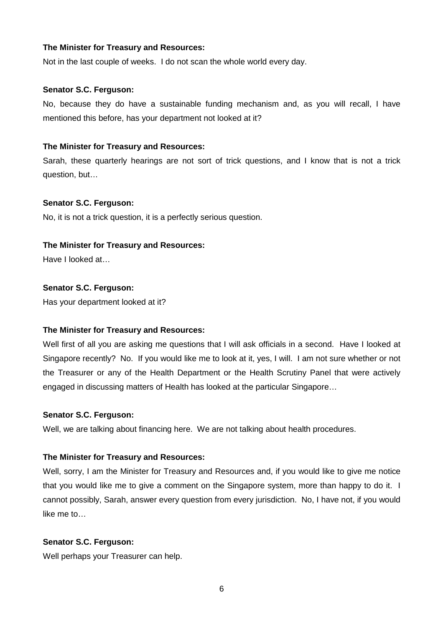Not in the last couple of weeks. I do not scan the whole world every day.

## **Senator S.C. Ferguson:**

No, because they do have a sustainable funding mechanism and, as you will recall, I have mentioned this before, has your department not looked at it?

## **The Minister for Treasury and Resources:**

Sarah, these quarterly hearings are not sort of trick questions, and I know that is not a trick question, but…

## **Senator S.C. Ferguson:**

No, it is not a trick question, it is a perfectly serious question.

## **The Minister for Treasury and Resources:**

Have I looked at…

## **Senator S.C. Ferguson:**

Has your department looked at it?

## **The Minister for Treasury and Resources:**

Well first of all you are asking me questions that I will ask officials in a second. Have I looked at Singapore recently? No. If you would like me to look at it, yes, I will. I am not sure whether or not the Treasurer or any of the Health Department or the Health Scrutiny Panel that were actively engaged in discussing matters of Health has looked at the particular Singapore…

## **Senator S.C. Ferguson:**

Well, we are talking about financing here. We are not talking about health procedures.

## **The Minister for Treasury and Resources:**

Well, sorry, I am the Minister for Treasury and Resources and, if you would like to give me notice that you would like me to give a comment on the Singapore system, more than happy to do it. I cannot possibly, Sarah, answer every question from every jurisdiction. No, I have not, if you would like me to…

## **Senator S.C. Ferguson:**

Well perhaps your Treasurer can help.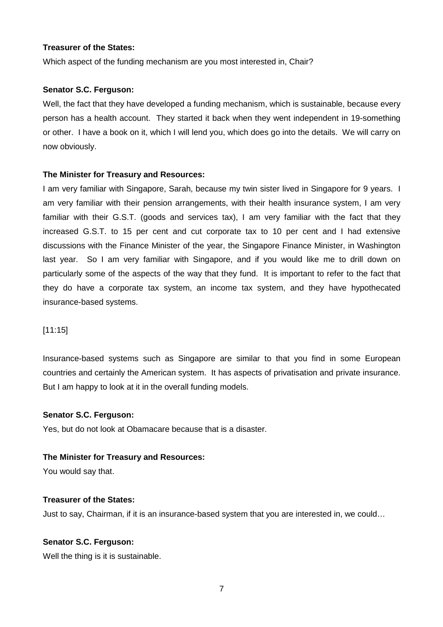## **Treasurer of the States:**

Which aspect of the funding mechanism are you most interested in, Chair?

#### **Senator S.C. Ferguson:**

Well, the fact that they have developed a funding mechanism, which is sustainable, because every person has a health account. They started it back when they went independent in 19-something or other. I have a book on it, which I will lend you, which does go into the details. We will carry on now obviously.

## **The Minister for Treasury and Resources:**

I am very familiar with Singapore, Sarah, because my twin sister lived in Singapore for 9 years. I am very familiar with their pension arrangements, with their health insurance system, I am very familiar with their G.S.T. (goods and services tax), I am very familiar with the fact that they increased G.S.T. to 15 per cent and cut corporate tax to 10 per cent and I had extensive discussions with the Finance Minister of the year, the Singapore Finance Minister, in Washington last year. So I am very familiar with Singapore, and if you would like me to drill down on particularly some of the aspects of the way that they fund. It is important to refer to the fact that they do have a corporate tax system, an income tax system, and they have hypothecated insurance-based systems.

## [11:15]

Insurance-based systems such as Singapore are similar to that you find in some European countries and certainly the American system. It has aspects of privatisation and private insurance. But I am happy to look at it in the overall funding models.

#### **Senator S.C. Ferguson:**

Yes, but do not look at Obamacare because that is a disaster.

#### **The Minister for Treasury and Resources:**

You would say that.

#### **Treasurer of the States:**

Just to say, Chairman, if it is an insurance-based system that you are interested in, we could…

#### **Senator S.C. Ferguson:**

Well the thing is it is sustainable.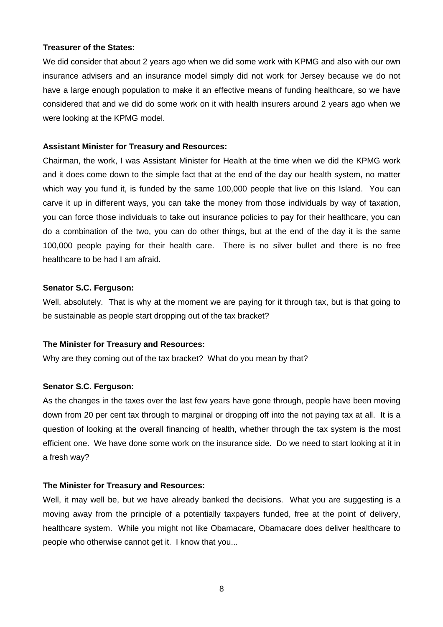#### **Treasurer of the States:**

We did consider that about 2 years ago when we did some work with KPMG and also with our own insurance advisers and an insurance model simply did not work for Jersey because we do not have a large enough population to make it an effective means of funding healthcare, so we have considered that and we did do some work on it with health insurers around 2 years ago when we were looking at the KPMG model.

## **Assistant Minister for Treasury and Resources:**

Chairman, the work, I was Assistant Minister for Health at the time when we did the KPMG work and it does come down to the simple fact that at the end of the day our health system, no matter which way you fund it, is funded by the same 100,000 people that live on this Island. You can carve it up in different ways, you can take the money from those individuals by way of taxation, you can force those individuals to take out insurance policies to pay for their healthcare, you can do a combination of the two, you can do other things, but at the end of the day it is the same 100,000 people paying for their health care. There is no silver bullet and there is no free healthcare to be had I am afraid.

## **Senator S.C. Ferguson:**

Well, absolutely. That is why at the moment we are paying for it through tax, but is that going to be sustainable as people start dropping out of the tax bracket?

## **The Minister for Treasury and Resources:**

Why are they coming out of the tax bracket? What do you mean by that?

# **Senator S.C. Ferguson:**

As the changes in the taxes over the last few years have gone through, people have been moving down from 20 per cent tax through to marginal or dropping off into the not paying tax at all. It is a question of looking at the overall financing of health, whether through the tax system is the most efficient one. We have done some work on the insurance side. Do we need to start looking at it in a fresh way?

## **The Minister for Treasury and Resources:**

Well, it may well be, but we have already banked the decisions. What you are suggesting is a moving away from the principle of a potentially taxpayers funded, free at the point of delivery, healthcare system. While you might not like Obamacare, Obamacare does deliver healthcare to people who otherwise cannot get it. I know that you...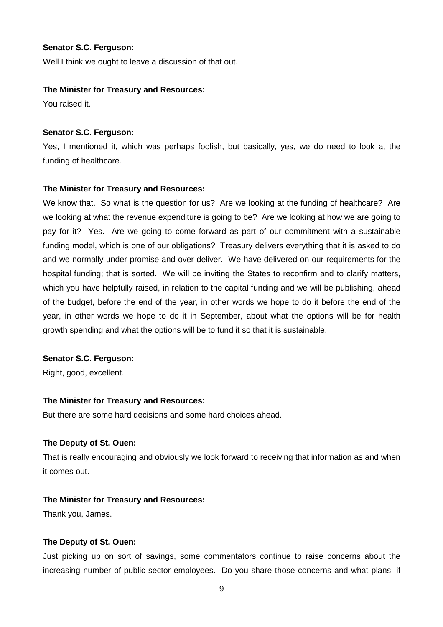#### **Senator S.C. Ferguson:**

Well I think we ought to leave a discussion of that out.

#### **The Minister for Treasury and Resources:**

You raised it.

## **Senator S.C. Ferguson:**

Yes, I mentioned it, which was perhaps foolish, but basically, yes, we do need to look at the funding of healthcare.

## **The Minister for Treasury and Resources:**

We know that. So what is the question for us? Are we looking at the funding of healthcare? Are we looking at what the revenue expenditure is going to be? Are we looking at how we are going to pay for it? Yes. Are we going to come forward as part of our commitment with a sustainable funding model, which is one of our obligations? Treasury delivers everything that it is asked to do and we normally under-promise and over-deliver. We have delivered on our requirements for the hospital funding; that is sorted. We will be inviting the States to reconfirm and to clarify matters, which you have helpfully raised, in relation to the capital funding and we will be publishing, ahead of the budget, before the end of the year, in other words we hope to do it before the end of the year, in other words we hope to do it in September, about what the options will be for health growth spending and what the options will be to fund it so that it is sustainable.

#### **Senator S.C. Ferguson:**

Right, good, excellent.

## **The Minister for Treasury and Resources:**

But there are some hard decisions and some hard choices ahead.

## **The Deputy of St. Ouen:**

That is really encouraging and obviously we look forward to receiving that information as and when it comes out.

## **The Minister for Treasury and Resources:**

Thank you, James.

## **The Deputy of St. Ouen:**

Just picking up on sort of savings, some commentators continue to raise concerns about the increasing number of public sector employees. Do you share those concerns and what plans, if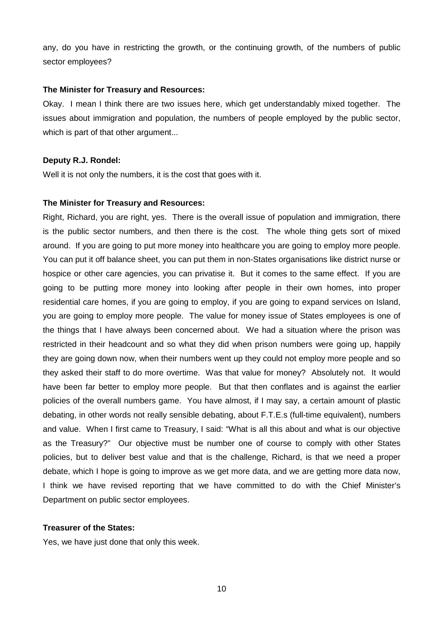any, do you have in restricting the growth, or the continuing growth, of the numbers of public sector employees?

#### **The Minister for Treasury and Resources:**

Okay. I mean I think there are two issues here, which get understandably mixed together. The issues about immigration and population, the numbers of people employed by the public sector, which is part of that other argument...

#### **Deputy R.J. Rondel:**

Well it is not only the numbers, it is the cost that goes with it.

#### **The Minister for Treasury and Resources:**

Right, Richard, you are right, yes. There is the overall issue of population and immigration, there is the public sector numbers, and then there is the cost. The whole thing gets sort of mixed around. If you are going to put more money into healthcare you are going to employ more people. You can put it off balance sheet, you can put them in non-States organisations like district nurse or hospice or other care agencies, you can privatise it. But it comes to the same effect. If you are going to be putting more money into looking after people in their own homes, into proper residential care homes, if you are going to employ, if you are going to expand services on Island, you are going to employ more people. The value for money issue of States employees is one of the things that I have always been concerned about. We had a situation where the prison was restricted in their headcount and so what they did when prison numbers were going up, happily they are going down now, when their numbers went up they could not employ more people and so they asked their staff to do more overtime. Was that value for money? Absolutely not. It would have been far better to employ more people. But that then conflates and is against the earlier policies of the overall numbers game. You have almost, if I may say, a certain amount of plastic debating, in other words not really sensible debating, about F.T.E.s (full-time equivalent), numbers and value. When I first came to Treasury, I said: "What is all this about and what is our objective as the Treasury?" Our objective must be number one of course to comply with other States policies, but to deliver best value and that is the challenge, Richard, is that we need a proper debate, which I hope is going to improve as we get more data, and we are getting more data now, I think we have revised reporting that we have committed to do with the Chief Minister's Department on public sector employees.

#### **Treasurer of the States:**

Yes, we have just done that only this week.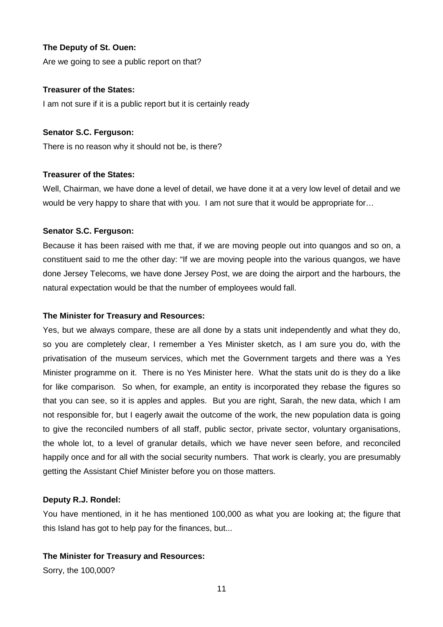## **The Deputy of St. Ouen:**

Are we going to see a public report on that?

## **Treasurer of the States:**

I am not sure if it is a public report but it is certainly ready

## **Senator S.C. Ferguson:**

There is no reason why it should not be, is there?

## **Treasurer of the States:**

Well, Chairman, we have done a level of detail, we have done it at a very low level of detail and we would be very happy to share that with you. I am not sure that it would be appropriate for...

## **Senator S.C. Ferguson:**

Because it has been raised with me that, if we are moving people out into quangos and so on, a constituent said to me the other day: "If we are moving people into the various quangos, we have done Jersey Telecoms, we have done Jersey Post, we are doing the airport and the harbours, the natural expectation would be that the number of employees would fall.

## **The Minister for Treasury and Resources:**

Yes, but we always compare, these are all done by a stats unit independently and what they do, so you are completely clear, I remember a Yes Minister sketch, as I am sure you do, with the privatisation of the museum services, which met the Government targets and there was a Yes Minister programme on it. There is no Yes Minister here. What the stats unit do is they do a like for like comparison. So when, for example, an entity is incorporated they rebase the figures so that you can see, so it is apples and apples. But you are right, Sarah, the new data, which I am not responsible for, but I eagerly await the outcome of the work, the new population data is going to give the reconciled numbers of all staff, public sector, private sector, voluntary organisations, the whole lot, to a level of granular details, which we have never seen before, and reconciled happily once and for all with the social security numbers. That work is clearly, you are presumably getting the Assistant Chief Minister before you on those matters.

## **Deputy R.J. Rondel:**

You have mentioned, in it he has mentioned 100,000 as what you are looking at; the figure that this Island has got to help pay for the finances, but...

## **The Minister for Treasury and Resources:**

Sorry, the 100,000?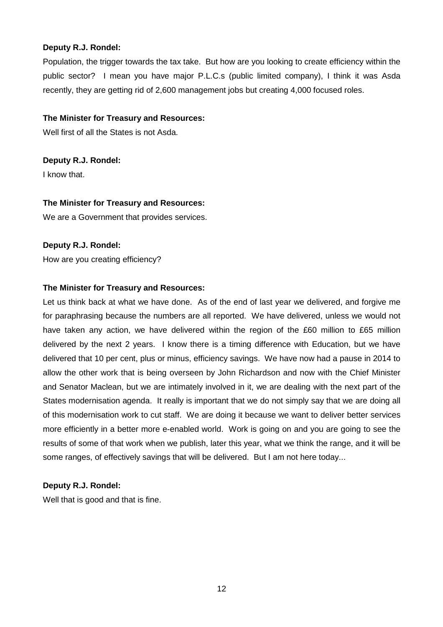## **Deputy R.J. Rondel:**

Population, the trigger towards the tax take. But how are you looking to create efficiency within the public sector? I mean you have major P.L.C.s (public limited company), I think it was Asda recently, they are getting rid of 2,600 management jobs but creating 4,000 focused roles.

## **The Minister for Treasury and Resources:**

Well first of all the States is not Asda.

**Deputy R.J. Rondel:**

I know that.

## **The Minister for Treasury and Resources:**

We are a Government that provides services.

## **Deputy R.J. Rondel:**

How are you creating efficiency?

## **The Minister for Treasury and Resources:**

Let us think back at what we have done. As of the end of last year we delivered, and forgive me for paraphrasing because the numbers are all reported. We have delivered, unless we would not have taken any action, we have delivered within the region of the £60 million to £65 million delivered by the next 2 years. I know there is a timing difference with Education, but we have delivered that 10 per cent, plus or minus, efficiency savings. We have now had a pause in 2014 to allow the other work that is being overseen by John Richardson and now with the Chief Minister and Senator Maclean, but we are intimately involved in it, we are dealing with the next part of the States modernisation agenda. It really is important that we do not simply say that we are doing all of this modernisation work to cut staff. We are doing it because we want to deliver better services more efficiently in a better more e-enabled world. Work is going on and you are going to see the results of some of that work when we publish, later this year, what we think the range, and it will be some ranges, of effectively savings that will be delivered. But I am not here today...

# **Deputy R.J. Rondel:**

Well that is good and that is fine.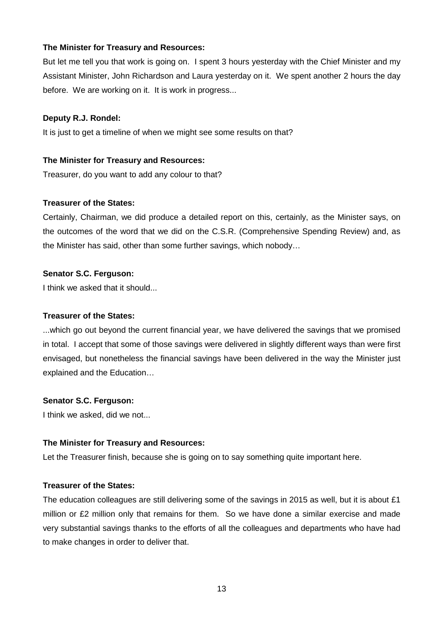But let me tell you that work is going on. I spent 3 hours yesterday with the Chief Minister and my Assistant Minister, John Richardson and Laura yesterday on it. We spent another 2 hours the day before. We are working on it. It is work in progress...

#### **Deputy R.J. Rondel:**

It is just to get a timeline of when we might see some results on that?

#### **The Minister for Treasury and Resources:**

Treasurer, do you want to add any colour to that?

#### **Treasurer of the States:**

Certainly, Chairman, we did produce a detailed report on this, certainly, as the Minister says, on the outcomes of the word that we did on the C.S.R. (Comprehensive Spending Review) and, as the Minister has said, other than some further savings, which nobody…

#### **Senator S.C. Ferguson:**

I think we asked that it should...

#### **Treasurer of the States:**

...which go out beyond the current financial year, we have delivered the savings that we promised in total. I accept that some of those savings were delivered in slightly different ways than were first envisaged, but nonetheless the financial savings have been delivered in the way the Minister just explained and the Education…

## **Senator S.C. Ferguson:**

I think we asked, did we not...

#### **The Minister for Treasury and Resources:**

Let the Treasurer finish, because she is going on to say something quite important here.

## **Treasurer of the States:**

The education colleagues are still delivering some of the savings in 2015 as well, but it is about £1 million or £2 million only that remains for them. So we have done a similar exercise and made very substantial savings thanks to the efforts of all the colleagues and departments who have had to make changes in order to deliver that.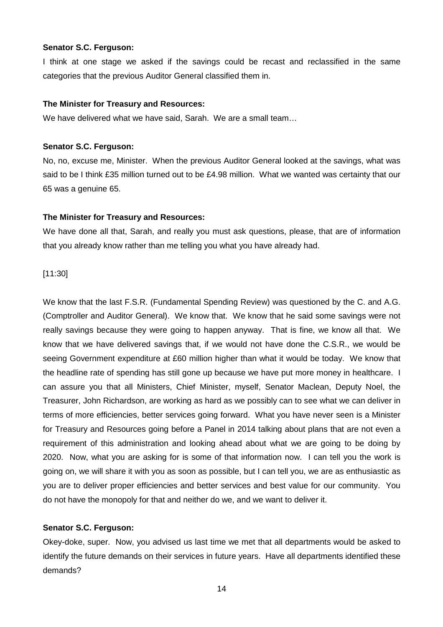#### **Senator S.C. Ferguson:**

I think at one stage we asked if the savings could be recast and reclassified in the same categories that the previous Auditor General classified them in.

#### **The Minister for Treasury and Resources:**

We have delivered what we have said, Sarah. We are a small team…

#### **Senator S.C. Ferguson:**

No, no, excuse me, Minister. When the previous Auditor General looked at the savings, what was said to be I think £35 million turned out to be £4.98 million. What we wanted was certainty that our 65 was a genuine 65.

## **The Minister for Treasury and Resources:**

We have done all that, Sarah, and really you must ask questions, please, that are of information that you already know rather than me telling you what you have already had.

[11:30]

We know that the last F.S.R. (Fundamental Spending Review) was questioned by the C. and A.G. (Comptroller and Auditor General). We know that. We know that he said some savings were not really savings because they were going to happen anyway. That is fine, we know all that. We know that we have delivered savings that, if we would not have done the C.S.R., we would be seeing Government expenditure at £60 million higher than what it would be today. We know that the headline rate of spending has still gone up because we have put more money in healthcare. I can assure you that all Ministers, Chief Minister, myself, Senator Maclean, Deputy Noel, the Treasurer, John Richardson, are working as hard as we possibly can to see what we can deliver in terms of more efficiencies, better services going forward. What you have never seen is a Minister for Treasury and Resources going before a Panel in 2014 talking about plans that are not even a requirement of this administration and looking ahead about what we are going to be doing by 2020. Now, what you are asking for is some of that information now. I can tell you the work is going on, we will share it with you as soon as possible, but I can tell you, we are as enthusiastic as you are to deliver proper efficiencies and better services and best value for our community. You do not have the monopoly for that and neither do we, and we want to deliver it.

## **Senator S.C. Ferguson:**

Okey-doke, super. Now, you advised us last time we met that all departments would be asked to identify the future demands on their services in future years. Have all departments identified these demands?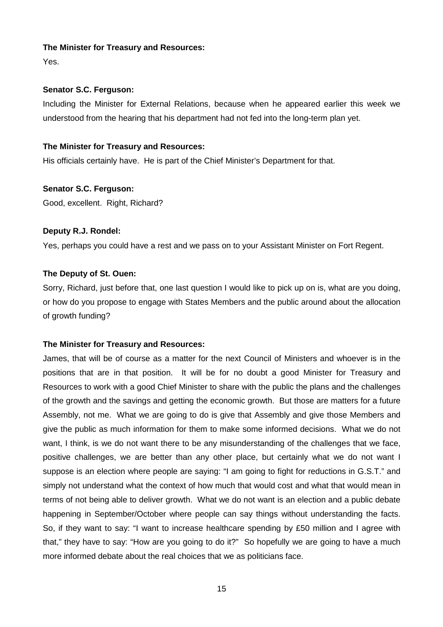Yes.

## **Senator S.C. Ferguson:**

Including the Minister for External Relations, because when he appeared earlier this week we understood from the hearing that his department had not fed into the long-term plan yet.

## **The Minister for Treasury and Resources:**

His officials certainly have. He is part of the Chief Minister's Department for that.

## **Senator S.C. Ferguson:**

Good, excellent. Right, Richard?

# **Deputy R.J. Rondel:**

Yes, perhaps you could have a rest and we pass on to your Assistant Minister on Fort Regent.

## **The Deputy of St. Ouen:**

Sorry, Richard, just before that, one last question I would like to pick up on is, what are you doing, or how do you propose to engage with States Members and the public around about the allocation of growth funding?

# **The Minister for Treasury and Resources:**

James, that will be of course as a matter for the next Council of Ministers and whoever is in the positions that are in that position. It will be for no doubt a good Minister for Treasury and Resources to work with a good Chief Minister to share with the public the plans and the challenges of the growth and the savings and getting the economic growth. But those are matters for a future Assembly, not me. What we are going to do is give that Assembly and give those Members and give the public as much information for them to make some informed decisions. What we do not want, I think, is we do not want there to be any misunderstanding of the challenges that we face, positive challenges, we are better than any other place, but certainly what we do not want I suppose is an election where people are saying: "I am going to fight for reductions in G.S.T." and simply not understand what the context of how much that would cost and what that would mean in terms of not being able to deliver growth. What we do not want is an election and a public debate happening in September/October where people can say things without understanding the facts. So, if they want to say: "I want to increase healthcare spending by £50 million and I agree with that," they have to say: "How are you going to do it?" So hopefully we are going to have a much more informed debate about the real choices that we as politicians face.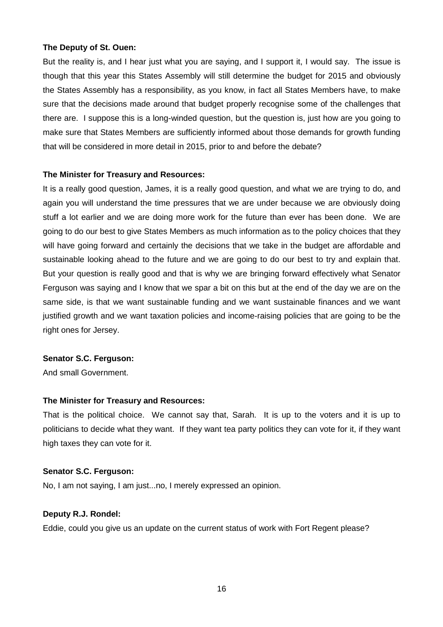#### **The Deputy of St. Ouen:**

But the reality is, and I hear just what you are saying, and I support it, I would say. The issue is though that this year this States Assembly will still determine the budget for 2015 and obviously the States Assembly has a responsibility, as you know, in fact all States Members have, to make sure that the decisions made around that budget properly recognise some of the challenges that there are. I suppose this is a long-winded question, but the question is, just how are you going to make sure that States Members are sufficiently informed about those demands for growth funding that will be considered in more detail in 2015, prior to and before the debate?

#### **The Minister for Treasury and Resources:**

It is a really good question, James, it is a really good question, and what we are trying to do, and again you will understand the time pressures that we are under because we are obviously doing stuff a lot earlier and we are doing more work for the future than ever has been done. We are going to do our best to give States Members as much information as to the policy choices that they will have going forward and certainly the decisions that we take in the budget are affordable and sustainable looking ahead to the future and we are going to do our best to try and explain that. But your question is really good and that is why we are bringing forward effectively what Senator Ferguson was saying and I know that we spar a bit on this but at the end of the day we are on the same side, is that we want sustainable funding and we want sustainable finances and we want justified growth and we want taxation policies and income-raising policies that are going to be the right ones for Jersey.

#### **Senator S.C. Ferguson:**

And small Government.

## **The Minister for Treasury and Resources:**

That is the political choice. We cannot say that, Sarah. It is up to the voters and it is up to politicians to decide what they want. If they want tea party politics they can vote for it, if they want high taxes they can vote for it.

#### **Senator S.C. Ferguson:**

No, I am not saying, I am just...no, I merely expressed an opinion.

#### **Deputy R.J. Rondel:**

Eddie, could you give us an update on the current status of work with Fort Regent please?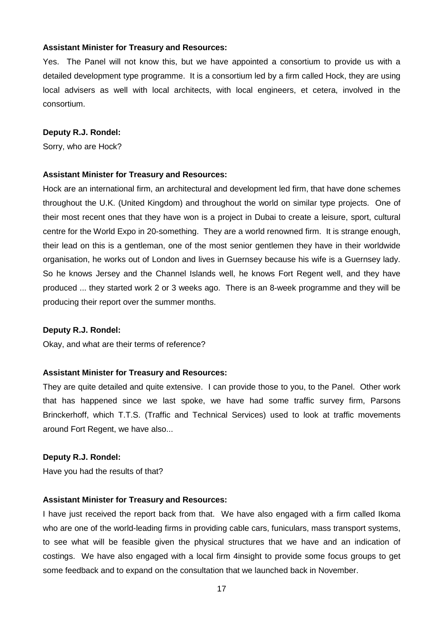Yes. The Panel will not know this, but we have appointed a consortium to provide us with a detailed development type programme. It is a consortium led by a firm called Hock, they are using local advisers as well with local architects, with local engineers, et cetera, involved in the consortium.

#### **Deputy R.J. Rondel:**

Sorry, who are Hock?

#### **Assistant Minister for Treasury and Resources:**

Hock are an international firm, an architectural and development led firm, that have done schemes throughout the U.K. (United Kingdom) and throughout the world on similar type projects. One of their most recent ones that they have won is a project in Dubai to create a leisure, sport, cultural centre for the World Expo in 20-something. They are a world renowned firm. It is strange enough, their lead on this is a gentleman, one of the most senior gentlemen they have in their worldwide organisation, he works out of London and lives in Guernsey because his wife is a Guernsey lady. So he knows Jersey and the Channel Islands well, he knows Fort Regent well, and they have produced ... they started work 2 or 3 weeks ago. There is an 8-week programme and they will be producing their report over the summer months.

#### **Deputy R.J. Rondel:**

Okay, and what are their terms of reference?

#### **Assistant Minister for Treasury and Resources:**

They are quite detailed and quite extensive. I can provide those to you, to the Panel. Other work that has happened since we last spoke, we have had some traffic survey firm, Parsons Brinckerhoff, which T.T.S. (Traffic and Technical Services) used to look at traffic movements around Fort Regent, we have also...

#### **Deputy R.J. Rondel:**

Have you had the results of that?

#### **Assistant Minister for Treasury and Resources:**

I have just received the report back from that. We have also engaged with a firm called Ikoma who are one of the world-leading firms in providing cable cars, funiculars, mass transport systems, to see what will be feasible given the physical structures that we have and an indication of costings. We have also engaged with a local firm 4insight to provide some focus groups to get some feedback and to expand on the consultation that we launched back in November.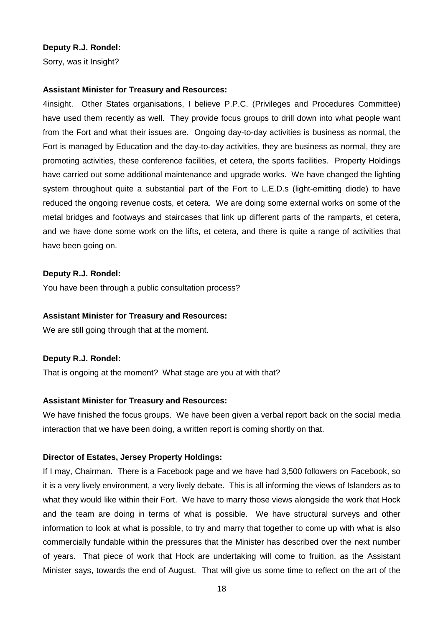#### **Deputy R.J. Rondel:**

Sorry, was it Insight?

#### **Assistant Minister for Treasury and Resources:**

4insight. Other States organisations, I believe P.P.C. (Privileges and Procedures Committee) have used them recently as well. They provide focus groups to drill down into what people want from the Fort and what their issues are. Ongoing day-to-day activities is business as normal, the Fort is managed by Education and the day-to-day activities, they are business as normal, they are promoting activities, these conference facilities, et cetera, the sports facilities. Property Holdings have carried out some additional maintenance and upgrade works. We have changed the lighting system throughout quite a substantial part of the Fort to L.E.D.s (light-emitting diode) to have reduced the ongoing revenue costs, et cetera. We are doing some external works on some of the metal bridges and footways and staircases that link up different parts of the ramparts, et cetera, and we have done some work on the lifts, et cetera, and there is quite a range of activities that have been going on.

#### **Deputy R.J. Rondel:**

You have been through a public consultation process?

#### **Assistant Minister for Treasury and Resources:**

We are still going through that at the moment.

#### **Deputy R.J. Rondel:**

That is ongoing at the moment? What stage are you at with that?

## **Assistant Minister for Treasury and Resources:**

We have finished the focus groups. We have been given a verbal report back on the social media interaction that we have been doing, a written report is coming shortly on that.

#### **Director of Estates, Jersey Property Holdings:**

If I may, Chairman. There is a Facebook page and we have had 3,500 followers on Facebook, so it is a very lively environment, a very lively debate. This is all informing the views of Islanders as to what they would like within their Fort. We have to marry those views alongside the work that Hock and the team are doing in terms of what is possible. We have structural surveys and other information to look at what is possible, to try and marry that together to come up with what is also commercially fundable within the pressures that the Minister has described over the next number of years. That piece of work that Hock are undertaking will come to fruition, as the Assistant Minister says, towards the end of August. That will give us some time to reflect on the art of the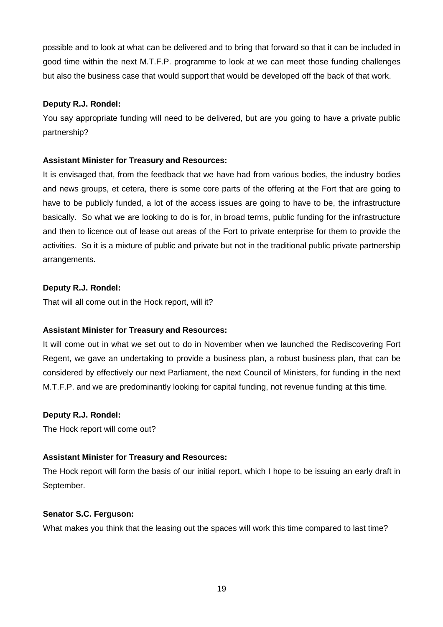possible and to look at what can be delivered and to bring that forward so that it can be included in good time within the next M.T.F.P. programme to look at we can meet those funding challenges but also the business case that would support that would be developed off the back of that work.

## **Deputy R.J. Rondel:**

You say appropriate funding will need to be delivered, but are you going to have a private public partnership?

## **Assistant Minister for Treasury and Resources:**

It is envisaged that, from the feedback that we have had from various bodies, the industry bodies and news groups, et cetera, there is some core parts of the offering at the Fort that are going to have to be publicly funded, a lot of the access issues are going to have to be, the infrastructure basically. So what we are looking to do is for, in broad terms, public funding for the infrastructure and then to licence out of lease out areas of the Fort to private enterprise for them to provide the activities. So it is a mixture of public and private but not in the traditional public private partnership arrangements.

## **Deputy R.J. Rondel:**

That will all come out in the Hock report, will it?

# **Assistant Minister for Treasury and Resources:**

It will come out in what we set out to do in November when we launched the Rediscovering Fort Regent, we gave an undertaking to provide a business plan, a robust business plan, that can be considered by effectively our next Parliament, the next Council of Ministers, for funding in the next M.T.F.P. and we are predominantly looking for capital funding, not revenue funding at this time.

## **Deputy R.J. Rondel:**

The Hock report will come out?

# **Assistant Minister for Treasury and Resources:**

The Hock report will form the basis of our initial report, which I hope to be issuing an early draft in September.

## **Senator S.C. Ferguson:**

What makes you think that the leasing out the spaces will work this time compared to last time?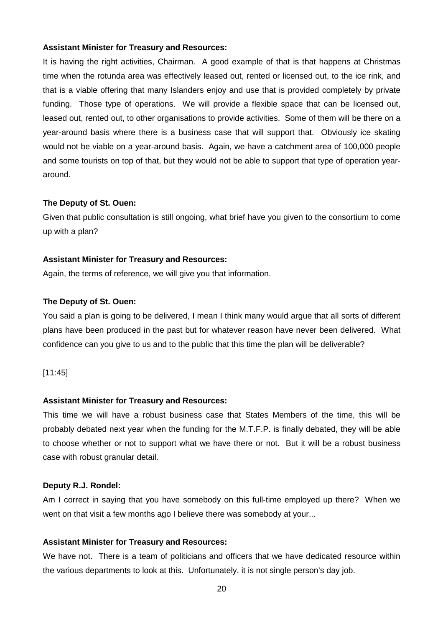It is having the right activities, Chairman. A good example of that is that happens at Christmas time when the rotunda area was effectively leased out, rented or licensed out, to the ice rink, and that is a viable offering that many Islanders enjoy and use that is provided completely by private funding. Those type of operations. We will provide a flexible space that can be licensed out, leased out, rented out, to other organisations to provide activities. Some of them will be there on a year-around basis where there is a business case that will support that. Obviously ice skating would not be viable on a year-around basis. Again, we have a catchment area of 100,000 people and some tourists on top of that, but they would not be able to support that type of operation yeararound.

#### **The Deputy of St. Ouen:**

Given that public consultation is still ongoing, what brief have you given to the consortium to come up with a plan?

#### **Assistant Minister for Treasury and Resources:**

Again, the terms of reference, we will give you that information.

#### **The Deputy of St. Ouen:**

You said a plan is going to be delivered, I mean I think many would argue that all sorts of different plans have been produced in the past but for whatever reason have never been delivered. What confidence can you give to us and to the public that this time the plan will be deliverable?

#### [11:45]

#### **Assistant Minister for Treasury and Resources:**

This time we will have a robust business case that States Members of the time, this will be probably debated next year when the funding for the M.T.F.P. is finally debated, they will be able to choose whether or not to support what we have there or not. But it will be a robust business case with robust granular detail.

#### **Deputy R.J. Rondel:**

Am I correct in saying that you have somebody on this full-time employed up there? When we went on that visit a few months ago I believe there was somebody at your...

#### **Assistant Minister for Treasury and Resources:**

We have not. There is a team of politicians and officers that we have dedicated resource within the various departments to look at this. Unfortunately, it is not single person's day job.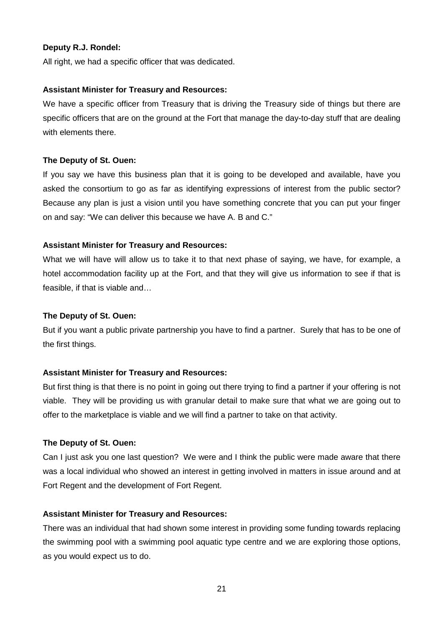## **Deputy R.J. Rondel:**

All right, we had a specific officer that was dedicated.

#### **Assistant Minister for Treasury and Resources:**

We have a specific officer from Treasury that is driving the Treasury side of things but there are specific officers that are on the ground at the Fort that manage the day-to-day stuff that are dealing with elements there.

## **The Deputy of St. Ouen:**

If you say we have this business plan that it is going to be developed and available, have you asked the consortium to go as far as identifying expressions of interest from the public sector? Because any plan is just a vision until you have something concrete that you can put your finger on and say: "We can deliver this because we have A. B and C."

## **Assistant Minister for Treasury and Resources:**

What we will have will allow us to take it to that next phase of saying, we have, for example, a hotel accommodation facility up at the Fort, and that they will give us information to see if that is feasible, if that is viable and…

## **The Deputy of St. Ouen:**

But if you want a public private partnership you have to find a partner. Surely that has to be one of the first things.

## **Assistant Minister for Treasury and Resources:**

But first thing is that there is no point in going out there trying to find a partner if your offering is not viable. They will be providing us with granular detail to make sure that what we are going out to offer to the marketplace is viable and we will find a partner to take on that activity.

## **The Deputy of St. Ouen:**

Can I just ask you one last question? We were and I think the public were made aware that there was a local individual who showed an interest in getting involved in matters in issue around and at Fort Regent and the development of Fort Regent.

## **Assistant Minister for Treasury and Resources:**

There was an individual that had shown some interest in providing some funding towards replacing the swimming pool with a swimming pool aquatic type centre and we are exploring those options, as you would expect us to do.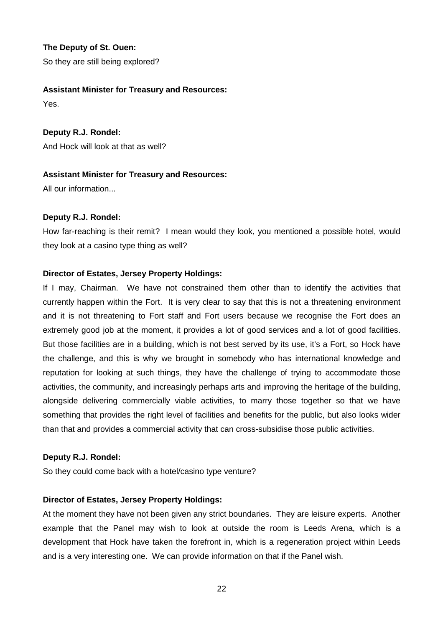**The Deputy of St. Ouen:** So they are still being explored?

## **Assistant Minister for Treasury and Resources:**

Yes.

**Deputy R.J. Rondel:** And Hock will look at that as well?

## **Assistant Minister for Treasury and Resources:**

All our information...

## **Deputy R.J. Rondel:**

How far-reaching is their remit? I mean would they look, you mentioned a possible hotel, would they look at a casino type thing as well?

# **Director of Estates, Jersey Property Holdings:**

If I may, Chairman. We have not constrained them other than to identify the activities that currently happen within the Fort. It is very clear to say that this is not a threatening environment and it is not threatening to Fort staff and Fort users because we recognise the Fort does an extremely good job at the moment, it provides a lot of good services and a lot of good facilities. But those facilities are in a building, which is not best served by its use, it's a Fort, so Hock have the challenge, and this is why we brought in somebody who has international knowledge and reputation for looking at such things, they have the challenge of trying to accommodate those activities, the community, and increasingly perhaps arts and improving the heritage of the building, alongside delivering commercially viable activities, to marry those together so that we have something that provides the right level of facilities and benefits for the public, but also looks wider than that and provides a commercial activity that can cross-subsidise those public activities.

## **Deputy R.J. Rondel:**

So they could come back with a hotel/casino type venture?

# **Director of Estates, Jersey Property Holdings:**

At the moment they have not been given any strict boundaries. They are leisure experts. Another example that the Panel may wish to look at outside the room is Leeds Arena, which is a development that Hock have taken the forefront in, which is a regeneration project within Leeds and is a very interesting one. We can provide information on that if the Panel wish.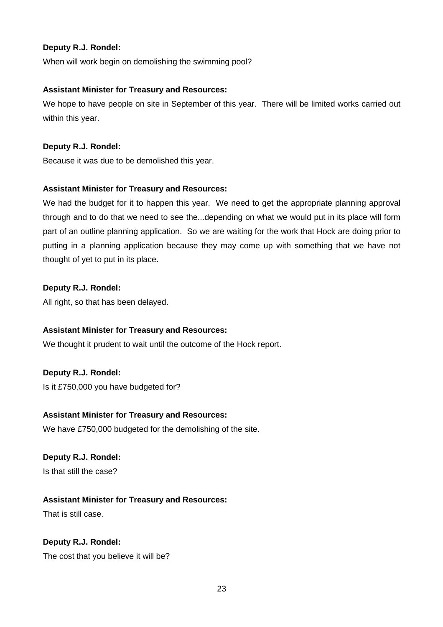## **Deputy R.J. Rondel:**

When will work begin on demolishing the swimming pool?

## **Assistant Minister for Treasury and Resources:**

We hope to have people on site in September of this year. There will be limited works carried out within this year.

## **Deputy R.J. Rondel:**

Because it was due to be demolished this year.

## **Assistant Minister for Treasury and Resources:**

We had the budget for it to happen this year. We need to get the appropriate planning approval through and to do that we need to see the...depending on what we would put in its place will form part of an outline planning application. So we are waiting for the work that Hock are doing prior to putting in a planning application because they may come up with something that we have not thought of yet to put in its place.

## **Deputy R.J. Rondel:**

All right, so that has been delayed.

## **Assistant Minister for Treasury and Resources:**

We thought it prudent to wait until the outcome of the Hock report.

## **Deputy R.J. Rondel:**

Is it £750,000 you have budgeted for?

## **Assistant Minister for Treasury and Resources:**

We have £750,000 budgeted for the demolishing of the site.

## **Deputy R.J. Rondel:**

Is that still the case?

## **Assistant Minister for Treasury and Resources:**

That is still case.

## **Deputy R.J. Rondel:**

The cost that you believe it will be?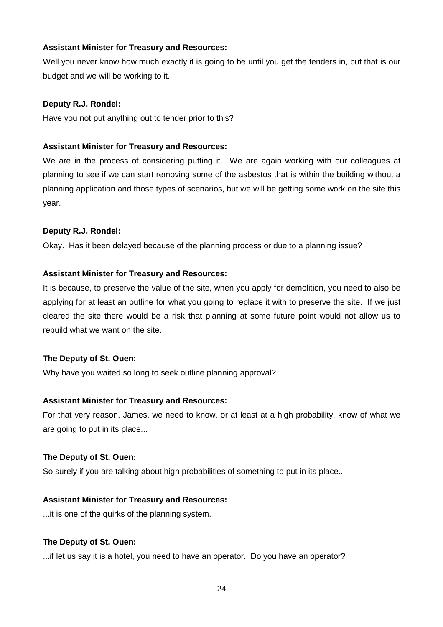Well you never know how much exactly it is going to be until you get the tenders in, but that is our budget and we will be working to it.

## **Deputy R.J. Rondel:**

Have you not put anything out to tender prior to this?

## **Assistant Minister for Treasury and Resources:**

We are in the process of considering putting it. We are again working with our colleagues at planning to see if we can start removing some of the asbestos that is within the building without a planning application and those types of scenarios, but we will be getting some work on the site this year.

## **Deputy R.J. Rondel:**

Okay. Has it been delayed because of the planning process or due to a planning issue?

## **Assistant Minister for Treasury and Resources:**

It is because, to preserve the value of the site, when you apply for demolition, you need to also be applying for at least an outline for what you going to replace it with to preserve the site. If we just cleared the site there would be a risk that planning at some future point would not allow us to rebuild what we want on the site.

## **The Deputy of St. Ouen:**

Why have you waited so long to seek outline planning approval?

## **Assistant Minister for Treasury and Resources:**

For that very reason, James, we need to know, or at least at a high probability, know of what we are going to put in its place...

## **The Deputy of St. Ouen:**

So surely if you are talking about high probabilities of something to put in its place...

## **Assistant Minister for Treasury and Resources:**

...it is one of the quirks of the planning system.

## **The Deputy of St. Ouen:**

...if let us say it is a hotel, you need to have an operator. Do you have an operator?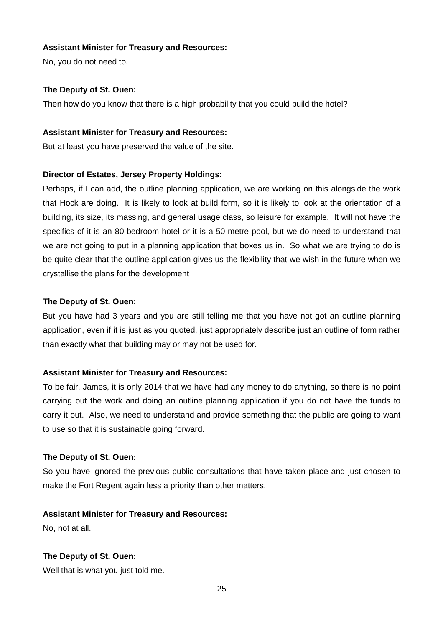No, you do not need to.

## **The Deputy of St. Ouen:**

Then how do you know that there is a high probability that you could build the hotel?

## **Assistant Minister for Treasury and Resources:**

But at least you have preserved the value of the site.

## **Director of Estates, Jersey Property Holdings:**

Perhaps, if I can add, the outline planning application, we are working on this alongside the work that Hock are doing. It is likely to look at build form, so it is likely to look at the orientation of a building, its size, its massing, and general usage class, so leisure for example. It will not have the specifics of it is an 80-bedroom hotel or it is a 50-metre pool, but we do need to understand that we are not going to put in a planning application that boxes us in. So what we are trying to do is be quite clear that the outline application gives us the flexibility that we wish in the future when we crystallise the plans for the development

## **The Deputy of St. Ouen:**

But you have had 3 years and you are still telling me that you have not got an outline planning application, even if it is just as you quoted, just appropriately describe just an outline of form rather than exactly what that building may or may not be used for.

# **Assistant Minister for Treasury and Resources:**

To be fair, James, it is only 2014 that we have had any money to do anything, so there is no point carrying out the work and doing an outline planning application if you do not have the funds to carry it out. Also, we need to understand and provide something that the public are going to want to use so that it is sustainable going forward.

## **The Deputy of St. Ouen:**

So you have ignored the previous public consultations that have taken place and just chosen to make the Fort Regent again less a priority than other matters.

## **Assistant Minister for Treasury and Resources:**

No, not at all.

# **The Deputy of St. Ouen:**

Well that is what you just told me.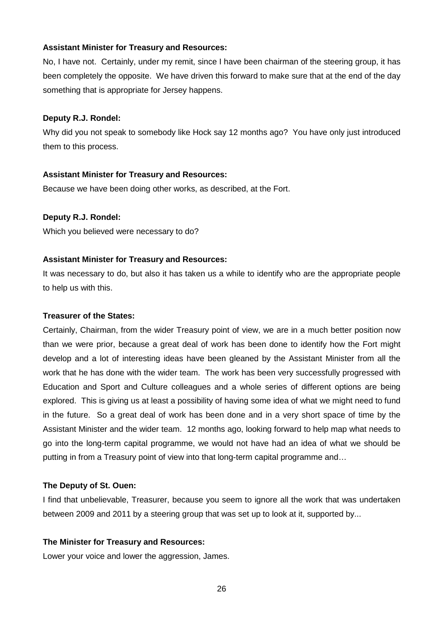No, I have not. Certainly, under my remit, since I have been chairman of the steering group, it has been completely the opposite. We have driven this forward to make sure that at the end of the day something that is appropriate for Jersey happens.

#### **Deputy R.J. Rondel:**

Why did you not speak to somebody like Hock say 12 months ago? You have only just introduced them to this process.

## **Assistant Minister for Treasury and Resources:**

Because we have been doing other works, as described, at the Fort.

## **Deputy R.J. Rondel:**

Which you believed were necessary to do?

## **Assistant Minister for Treasury and Resources:**

It was necessary to do, but also it has taken us a while to identify who are the appropriate people to help us with this.

## **Treasurer of the States:**

Certainly, Chairman, from the wider Treasury point of view, we are in a much better position now than we were prior, because a great deal of work has been done to identify how the Fort might develop and a lot of interesting ideas have been gleaned by the Assistant Minister from all the work that he has done with the wider team. The work has been very successfully progressed with Education and Sport and Culture colleagues and a whole series of different options are being explored. This is giving us at least a possibility of having some idea of what we might need to fund in the future. So a great deal of work has been done and in a very short space of time by the Assistant Minister and the wider team. 12 months ago, looking forward to help map what needs to go into the long-term capital programme, we would not have had an idea of what we should be putting in from a Treasury point of view into that long-term capital programme and…

## **The Deputy of St. Ouen:**

I find that unbelievable, Treasurer, because you seem to ignore all the work that was undertaken between 2009 and 2011 by a steering group that was set up to look at it, supported by...

## **The Minister for Treasury and Resources:**

Lower your voice and lower the aggression, James.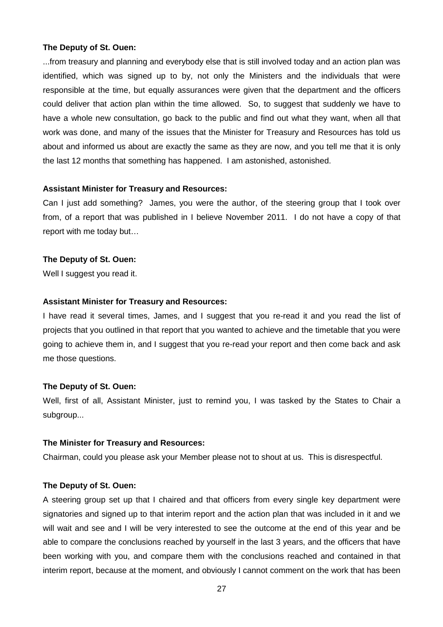#### **The Deputy of St. Ouen:**

...from treasury and planning and everybody else that is still involved today and an action plan was identified, which was signed up to by, not only the Ministers and the individuals that were responsible at the time, but equally assurances were given that the department and the officers could deliver that action plan within the time allowed. So, to suggest that suddenly we have to have a whole new consultation, go back to the public and find out what they want, when all that work was done, and many of the issues that the Minister for Treasury and Resources has told us about and informed us about are exactly the same as they are now, and you tell me that it is only the last 12 months that something has happened. I am astonished, astonished.

#### **Assistant Minister for Treasury and Resources:**

Can I just add something? James, you were the author, of the steering group that I took over from, of a report that was published in I believe November 2011. I do not have a copy of that report with me today but…

#### **The Deputy of St. Ouen:**

Well I suggest you read it.

#### **Assistant Minister for Treasury and Resources:**

I have read it several times, James, and I suggest that you re-read it and you read the list of projects that you outlined in that report that you wanted to achieve and the timetable that you were going to achieve them in, and I suggest that you re-read your report and then come back and ask me those questions.

#### **The Deputy of St. Ouen:**

Well, first of all, Assistant Minister, just to remind you, I was tasked by the States to Chair a subgroup...

#### **The Minister for Treasury and Resources:**

Chairman, could you please ask your Member please not to shout at us. This is disrespectful.

## **The Deputy of St. Ouen:**

A steering group set up that I chaired and that officers from every single key department were signatories and signed up to that interim report and the action plan that was included in it and we will wait and see and I will be very interested to see the outcome at the end of this year and be able to compare the conclusions reached by yourself in the last 3 years, and the officers that have been working with you, and compare them with the conclusions reached and contained in that interim report, because at the moment, and obviously I cannot comment on the work that has been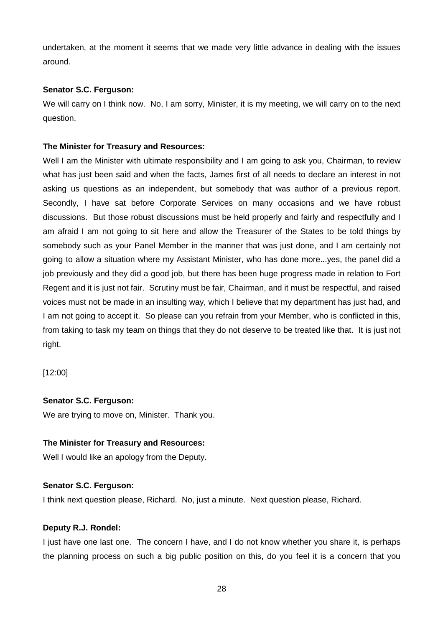undertaken, at the moment it seems that we made very little advance in dealing with the issues around.

## **Senator S.C. Ferguson:**

We will carry on I think now. No, I am sorry, Minister, it is my meeting, we will carry on to the next question.

# **The Minister for Treasury and Resources:**

Well I am the Minister with ultimate responsibility and I am going to ask you, Chairman, to review what has just been said and when the facts, James first of all needs to declare an interest in not asking us questions as an independent, but somebody that was author of a previous report. Secondly, I have sat before Corporate Services on many occasions and we have robust discussions. But those robust discussions must be held properly and fairly and respectfully and I am afraid I am not going to sit here and allow the Treasurer of the States to be told things by somebody such as your Panel Member in the manner that was just done, and I am certainly not going to allow a situation where my Assistant Minister, who has done more...yes, the panel did a job previously and they did a good job, but there has been huge progress made in relation to Fort Regent and it is just not fair. Scrutiny must be fair, Chairman, and it must be respectful, and raised voices must not be made in an insulting way, which I believe that my department has just had, and I am not going to accept it. So please can you refrain from your Member, who is conflicted in this, from taking to task my team on things that they do not deserve to be treated like that. It is just not right.

[12:00]

# **Senator S.C. Ferguson:**

We are trying to move on, Minister. Thank you.

# **The Minister for Treasury and Resources:**

Well I would like an apology from the Deputy.

# **Senator S.C. Ferguson:**

I think next question please, Richard. No, just a minute. Next question please, Richard.

## **Deputy R.J. Rondel:**

I just have one last one. The concern I have, and I do not know whether you share it, is perhaps the planning process on such a big public position on this, do you feel it is a concern that you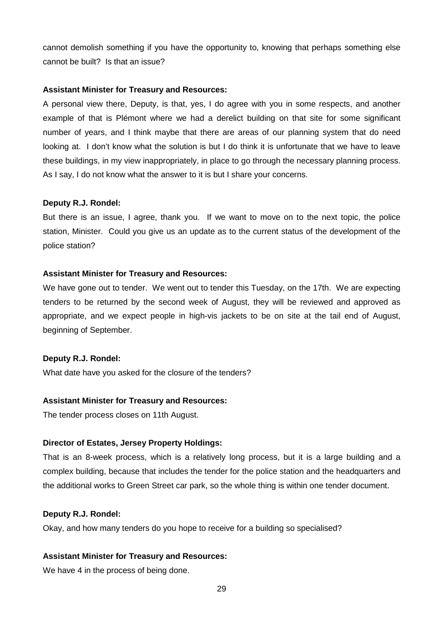cannot demolish something if you have the opportunity to, knowing that perhaps something else cannot be built? Is that an issue?

#### **Assistant Minister for Treasury and Resources:**

A personal view there, Deputy, is that, yes, I do agree with you in some respects, and another example of that is Plémont where we had a derelict building on that site for some significant number of years, and I think maybe that there are areas of our planning system that do need looking at. I don't know what the solution is but I do think it is unfortunate that we have to leave these buildings, in my view inappropriately, in place to go through the necessary planning process. As I say, I do not know what the answer to it is but I share your concerns.

#### **Deputy R.J. Rondel:**

But there is an issue, I agree, thank you. If we want to move on to the next topic, the police station, Minister. Could you give us an update as to the current status of the development of the police station?

#### **Assistant Minister for Treasury and Resources:**

We have gone out to tender. We went out to tender this Tuesday, on the 17th. We are expecting tenders to be returned by the second week of August, they will be reviewed and approved as appropriate, and we expect people in high-vis jackets to be on site at the tail end of August, beginning of September.

#### **Deputy R.J. Rondel:**

What date have you asked for the closure of the tenders?

#### **Assistant Minister for Treasury and Resources:**

The tender process closes on 11th August.

#### **Director of Estates, Jersey Property Holdings:**

That is an 8-week process, which is a relatively long process, but it is a large building and a complex building, because that includes the tender for the police station and the headquarters and the additional works to Green Street car park, so the whole thing is within one tender document.

#### **Deputy R.J. Rondel:**

Okay, and how many tenders do you hope to receive for a building so specialised?

#### **Assistant Minister for Treasury and Resources:**

We have 4 in the process of being done.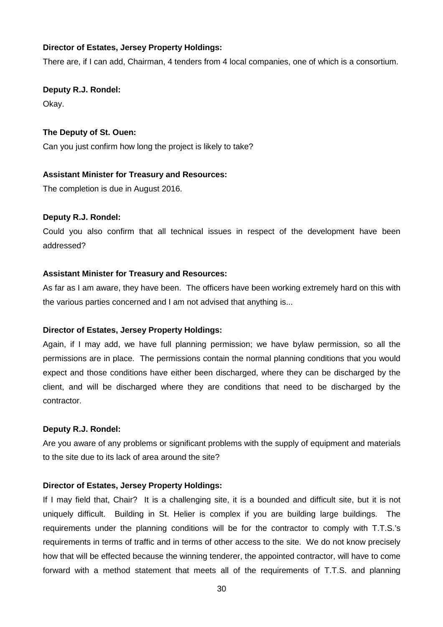## **Director of Estates, Jersey Property Holdings:**

There are, if I can add, Chairman, 4 tenders from 4 local companies, one of which is a consortium.

**Deputy R.J. Rondel:** Okay.

**The Deputy of St. Ouen:**

Can you just confirm how long the project is likely to take?

#### **Assistant Minister for Treasury and Resources:**

The completion is due in August 2016.

#### **Deputy R.J. Rondel:**

Could you also confirm that all technical issues in respect of the development have been addressed?

#### **Assistant Minister for Treasury and Resources:**

As far as I am aware, they have been. The officers have been working extremely hard on this with the various parties concerned and I am not advised that anything is...

#### **Director of Estates, Jersey Property Holdings:**

Again, if I may add, we have full planning permission; we have bylaw permission, so all the permissions are in place. The permissions contain the normal planning conditions that you would expect and those conditions have either been discharged, where they can be discharged by the client, and will be discharged where they are conditions that need to be discharged by the contractor.

#### **Deputy R.J. Rondel:**

Are you aware of any problems or significant problems with the supply of equipment and materials to the site due to its lack of area around the site?

#### **Director of Estates, Jersey Property Holdings:**

If I may field that, Chair? It is a challenging site, it is a bounded and difficult site, but it is not uniquely difficult. Building in St. Helier is complex if you are building large buildings. The requirements under the planning conditions will be for the contractor to comply with T.T.S.'s requirements in terms of traffic and in terms of other access to the site. We do not know precisely how that will be effected because the winning tenderer, the appointed contractor, will have to come forward with a method statement that meets all of the requirements of T.T.S. and planning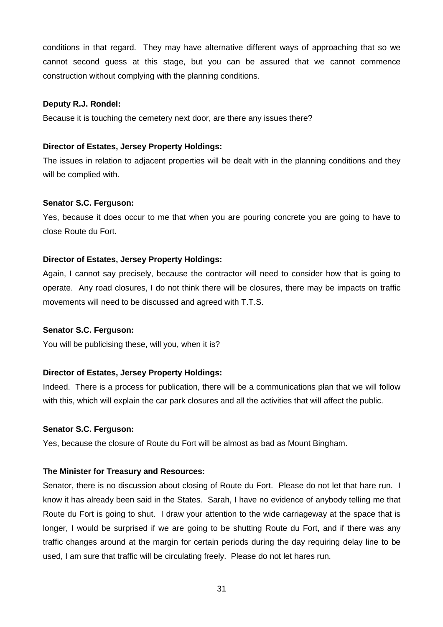conditions in that regard. They may have alternative different ways of approaching that so we cannot second guess at this stage, but you can be assured that we cannot commence construction without complying with the planning conditions.

#### **Deputy R.J. Rondel:**

Because it is touching the cemetery next door, are there any issues there?

## **Director of Estates, Jersey Property Holdings:**

The issues in relation to adjacent properties will be dealt with in the planning conditions and they will be complied with.

#### **Senator S.C. Ferguson:**

Yes, because it does occur to me that when you are pouring concrete you are going to have to close Route du Fort.

#### **Director of Estates, Jersey Property Holdings:**

Again, I cannot say precisely, because the contractor will need to consider how that is going to operate. Any road closures, I do not think there will be closures, there may be impacts on traffic movements will need to be discussed and agreed with T.T.S.

#### **Senator S.C. Ferguson:**

You will be publicising these, will you, when it is?

## **Director of Estates, Jersey Property Holdings:**

Indeed. There is a process for publication, there will be a communications plan that we will follow with this, which will explain the car park closures and all the activities that will affect the public.

#### **Senator S.C. Ferguson:**

Yes, because the closure of Route du Fort will be almost as bad as Mount Bingham.

#### **The Minister for Treasury and Resources:**

Senator, there is no discussion about closing of Route du Fort. Please do not let that hare run. I know it has already been said in the States. Sarah, I have no evidence of anybody telling me that Route du Fort is going to shut. I draw your attention to the wide carriageway at the space that is longer, I would be surprised if we are going to be shutting Route du Fort, and if there was any traffic changes around at the margin for certain periods during the day requiring delay line to be used, I am sure that traffic will be circulating freely. Please do not let hares run.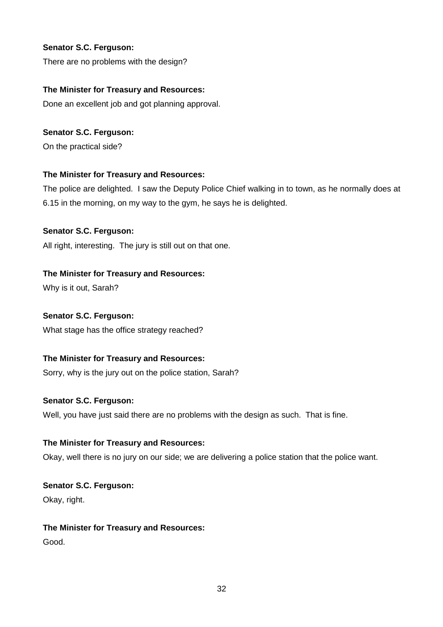# **Senator S.C. Ferguson:**

There are no problems with the design?

# **The Minister for Treasury and Resources:**

Done an excellent job and got planning approval.

# **Senator S.C. Ferguson:**

On the practical side?

# **The Minister for Treasury and Resources:**

The police are delighted. I saw the Deputy Police Chief walking in to town, as he normally does at 6.15 in the morning, on my way to the gym, he says he is delighted.

# **Senator S.C. Ferguson:**

All right, interesting. The jury is still out on that one.

# **The Minister for Treasury and Resources:**

Why is it out, Sarah?

# **Senator S.C. Ferguson:**

What stage has the office strategy reached?

# **The Minister for Treasury and Resources:**

Sorry, why is the jury out on the police station, Sarah?

# **Senator S.C. Ferguson:**

Well, you have just said there are no problems with the design as such. That is fine.

# **The Minister for Treasury and Resources:**

Okay, well there is no jury on our side; we are delivering a police station that the police want.

**Senator S.C. Ferguson:** Okay, right.

# **The Minister for Treasury and Resources:** Good.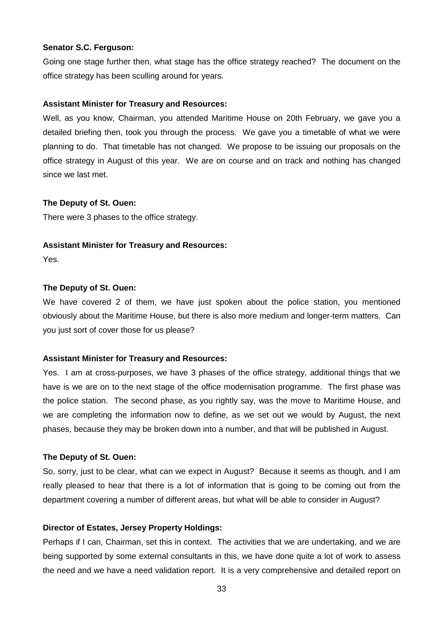#### **Senator S.C. Ferguson:**

Going one stage further then, what stage has the office strategy reached? The document on the office strategy has been sculling around for years.

#### **Assistant Minister for Treasury and Resources:**

Well, as you know, Chairman, you attended Maritime House on 20th February, we gave you a detailed briefing then, took you through the process. We gave you a timetable of what we were planning to do. That timetable has not changed. We propose to be issuing our proposals on the office strategy in August of this year. We are on course and on track and nothing has changed since we last met.

#### **The Deputy of St. Ouen:**

There were 3 phases to the office strategy.

#### **Assistant Minister for Treasury and Resources:**

Yes.

#### **The Deputy of St. Ouen:**

We have covered 2 of them, we have just spoken about the police station, you mentioned obviously about the Maritime House, but there is also more medium and longer-term matters. Can you just sort of cover those for us please?

## **Assistant Minister for Treasury and Resources:**

Yes. I am at cross-purposes, we have 3 phases of the office strategy, additional things that we have is we are on to the next stage of the office modernisation programme. The first phase was the police station. The second phase, as you rightly say, was the move to Maritime House, and we are completing the information now to define, as we set out we would by August, the next phases, because they may be broken down into a number, and that will be published in August.

#### **The Deputy of St. Ouen:**

So, sorry, just to be clear, what can we expect in August? Because it seems as though, and I am really pleased to hear that there is a lot of information that is going to be coming out from the department covering a number of different areas, but what will be able to consider in August?

#### **Director of Estates, Jersey Property Holdings:**

Perhaps if I can, Chairman, set this in context. The activities that we are undertaking, and we are being supported by some external consultants in this, we have done quite a lot of work to assess the need and we have a need validation report. It is a very comprehensive and detailed report on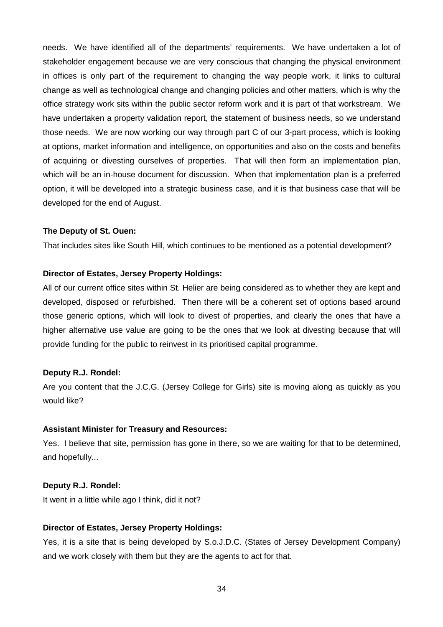needs. We have identified all of the departments' requirements. We have undertaken a lot of stakeholder engagement because we are very conscious that changing the physical environment in offices is only part of the requirement to changing the way people work, it links to cultural change as well as technological change and changing policies and other matters, which is why the office strategy work sits within the public sector reform work and it is part of that workstream. We have undertaken a property validation report, the statement of business needs, so we understand those needs. We are now working our way through part C of our 3-part process, which is looking at options, market information and intelligence, on opportunities and also on the costs and benefits of acquiring or divesting ourselves of properties. That will then form an implementation plan, which will be an in-house document for discussion. When that implementation plan is a preferred option, it will be developed into a strategic business case, and it is that business case that will be developed for the end of August.

#### **The Deputy of St. Ouen:**

That includes sites like South Hill, which continues to be mentioned as a potential development?

#### **Director of Estates, Jersey Property Holdings:**

All of our current office sites within St. Helier are being considered as to whether they are kept and developed, disposed or refurbished. Then there will be a coherent set of options based around those generic options, which will look to divest of properties, and clearly the ones that have a higher alternative use value are going to be the ones that we look at divesting because that will provide funding for the public to reinvest in its prioritised capital programme.

#### **Deputy R.J. Rondel:**

Are you content that the J.C.G. (Jersey College for Girls) site is moving along as quickly as you would like?

#### **Assistant Minister for Treasury and Resources:**

Yes. I believe that site, permission has gone in there, so we are waiting for that to be determined, and hopefully...

## **Deputy R.J. Rondel:**

It went in a little while ago I think, did it not?

#### **Director of Estates, Jersey Property Holdings:**

Yes, it is a site that is being developed by S.o.J.D.C. (States of Jersey Development Company) and we work closely with them but they are the agents to act for that.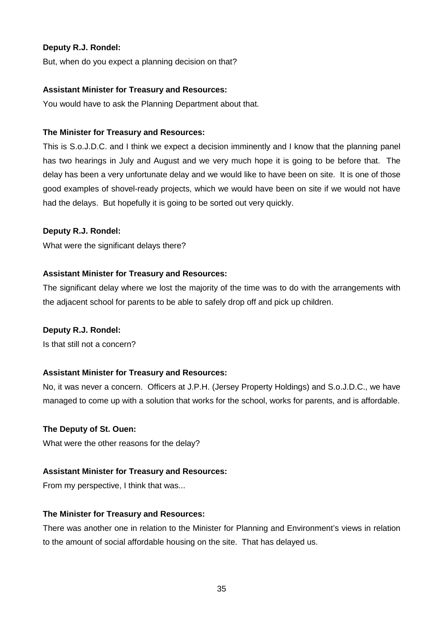## **Deputy R.J. Rondel:**

But, when do you expect a planning decision on that?

#### **Assistant Minister for Treasury and Resources:**

You would have to ask the Planning Department about that.

## **The Minister for Treasury and Resources:**

This is S.o.J.D.C. and I think we expect a decision imminently and I know that the planning panel has two hearings in July and August and we very much hope it is going to be before that. The delay has been a very unfortunate delay and we would like to have been on site. It is one of those good examples of shovel-ready projects, which we would have been on site if we would not have had the delays. But hopefully it is going to be sorted out very quickly.

## **Deputy R.J. Rondel:**

What were the significant delays there?

## **Assistant Minister for Treasury and Resources:**

The significant delay where we lost the majority of the time was to do with the arrangements with the adjacent school for parents to be able to safely drop off and pick up children.

## **Deputy R.J. Rondel:**

Is that still not a concern?

## **Assistant Minister for Treasury and Resources:**

No, it was never a concern. Officers at J.P.H. (Jersey Property Holdings) and S.o.J.D.C., we have managed to come up with a solution that works for the school, works for parents, and is affordable.

## **The Deputy of St. Ouen:**

What were the other reasons for the delay?

#### **Assistant Minister for Treasury and Resources:**

From my perspective, I think that was...

#### **The Minister for Treasury and Resources:**

There was another one in relation to the Minister for Planning and Environment's views in relation to the amount of social affordable housing on the site. That has delayed us.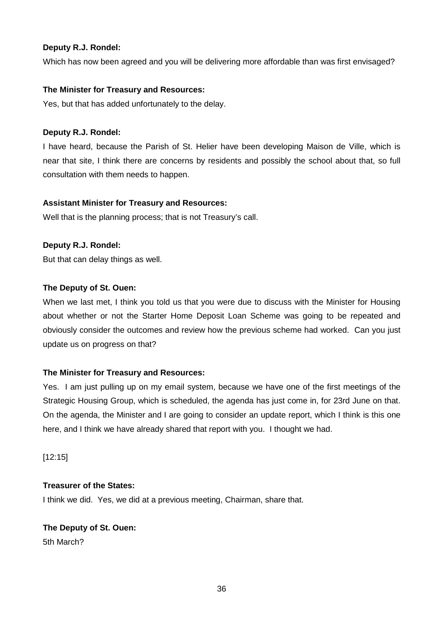## **Deputy R.J. Rondel:**

Which has now been agreed and you will be delivering more affordable than was first envisaged?

## **The Minister for Treasury and Resources:**

Yes, but that has added unfortunately to the delay.

## **Deputy R.J. Rondel:**

I have heard, because the Parish of St. Helier have been developing Maison de Ville, which is near that site, I think there are concerns by residents and possibly the school about that, so full consultation with them needs to happen.

## **Assistant Minister for Treasury and Resources:**

Well that is the planning process; that is not Treasury's call.

## **Deputy R.J. Rondel:**

But that can delay things as well.

## **The Deputy of St. Ouen:**

When we last met, I think you told us that you were due to discuss with the Minister for Housing about whether or not the Starter Home Deposit Loan Scheme was going to be repeated and obviously consider the outcomes and review how the previous scheme had worked. Can you just update us on progress on that?

# **The Minister for Treasury and Resources:**

Yes. I am just pulling up on my email system, because we have one of the first meetings of the Strategic Housing Group, which is scheduled, the agenda has just come in, for 23rd June on that. On the agenda, the Minister and I are going to consider an update report, which I think is this one here, and I think we have already shared that report with you. I thought we had.

[12:15]

# **Treasurer of the States:**

I think we did. Yes, we did at a previous meeting, Chairman, share that.

## **The Deputy of St. Ouen:**

5th March?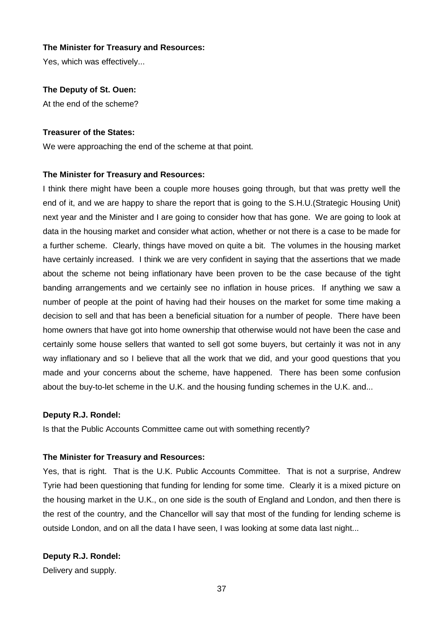Yes, which was effectively...

#### **The Deputy of St. Ouen:**

At the end of the scheme?

#### **Treasurer of the States:**

We were approaching the end of the scheme at that point.

#### **The Minister for Treasury and Resources:**

I think there might have been a couple more houses going through, but that was pretty well the end of it, and we are happy to share the report that is going to the S.H.U.(Strategic Housing Unit) next year and the Minister and I are going to consider how that has gone. We are going to look at data in the housing market and consider what action, whether or not there is a case to be made for a further scheme. Clearly, things have moved on quite a bit. The volumes in the housing market have certainly increased. I think we are very confident in saying that the assertions that we made about the scheme not being inflationary have been proven to be the case because of the tight banding arrangements and we certainly see no inflation in house prices. If anything we saw a number of people at the point of having had their houses on the market for some time making a decision to sell and that has been a beneficial situation for a number of people. There have been home owners that have got into home ownership that otherwise would not have been the case and certainly some house sellers that wanted to sell got some buyers, but certainly it was not in any way inflationary and so I believe that all the work that we did, and your good questions that you made and your concerns about the scheme, have happened. There has been some confusion about the buy-to-let scheme in the U.K. and the housing funding schemes in the U.K. and...

#### **Deputy R.J. Rondel:**

Is that the Public Accounts Committee came out with something recently?

#### **The Minister for Treasury and Resources:**

Yes, that is right. That is the U.K. Public Accounts Committee. That is not a surprise, Andrew Tyrie had been questioning that funding for lending for some time. Clearly it is a mixed picture on the housing market in the U.K., on one side is the south of England and London, and then there is the rest of the country, and the Chancellor will say that most of the funding for lending scheme is outside London, and on all the data I have seen, I was looking at some data last night...

## **Deputy R.J. Rondel:**

Delivery and supply.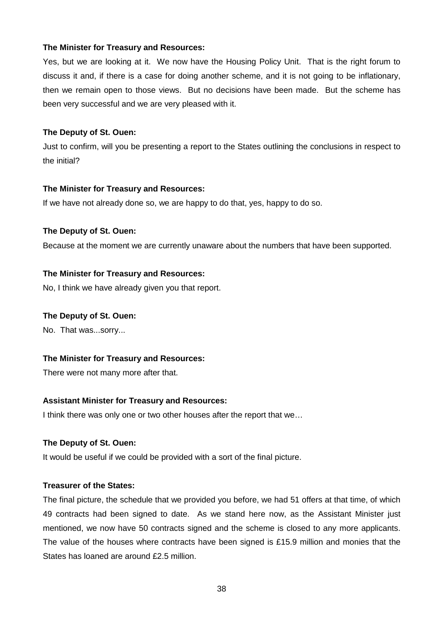Yes, but we are looking at it. We now have the Housing Policy Unit. That is the right forum to discuss it and, if there is a case for doing another scheme, and it is not going to be inflationary, then we remain open to those views. But no decisions have been made. But the scheme has been very successful and we are very pleased with it.

#### **The Deputy of St. Ouen:**

Just to confirm, will you be presenting a report to the States outlining the conclusions in respect to the initial?

#### **The Minister for Treasury and Resources:**

If we have not already done so, we are happy to do that, yes, happy to do so.

## **The Deputy of St. Ouen:**

Because at the moment we are currently unaware about the numbers that have been supported.

## **The Minister for Treasury and Resources:**

No, I think we have already given you that report.

#### **The Deputy of St. Ouen:**

No. That was...sorry...

## **The Minister for Treasury and Resources:**

There were not many more after that.

## **Assistant Minister for Treasury and Resources:**

I think there was only one or two other houses after the report that we...

## **The Deputy of St. Ouen:**

It would be useful if we could be provided with a sort of the final picture.

## **Treasurer of the States:**

The final picture, the schedule that we provided you before, we had 51 offers at that time, of which 49 contracts had been signed to date. As we stand here now, as the Assistant Minister just mentioned, we now have 50 contracts signed and the scheme is closed to any more applicants. The value of the houses where contracts have been signed is £15.9 million and monies that the States has loaned are around £2.5 million.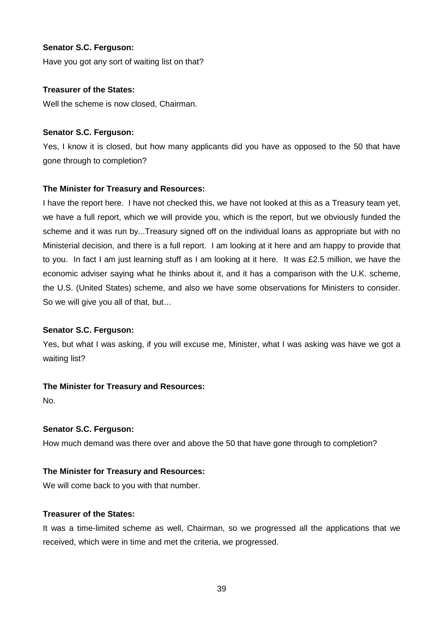## **Senator S.C. Ferguson:**

Have you got any sort of waiting list on that?

## **Treasurer of the States:**

Well the scheme is now closed, Chairman.

## **Senator S.C. Ferguson:**

Yes, I know it is closed, but how many applicants did you have as opposed to the 50 that have gone through to completion?

# **The Minister for Treasury and Resources:**

I have the report here. I have not checked this, we have not looked at this as a Treasury team yet, we have a full report, which we will provide you, which is the report, but we obviously funded the scheme and it was run by...Treasury signed off on the individual loans as appropriate but with no Ministerial decision, and there is a full report. I am looking at it here and am happy to provide that to you. In fact I am just learning stuff as I am looking at it here. It was £2.5 million, we have the economic adviser saying what he thinks about it, and it has a comparison with the U.K. scheme, the U.S. (United States) scheme, and also we have some observations for Ministers to consider. So we will give you all of that, but…

## **Senator S.C. Ferguson:**

Yes, but what I was asking, if you will excuse me, Minister, what I was asking was have we got a waiting list?

# **The Minister for Treasury and Resources:**

No.

# **Senator S.C. Ferguson:**

How much demand was there over and above the 50 that have gone through to completion?

## **The Minister for Treasury and Resources:**

We will come back to you with that number.

## **Treasurer of the States:**

It was a time-limited scheme as well, Chairman, so we progressed all the applications that we received, which were in time and met the criteria, we progressed.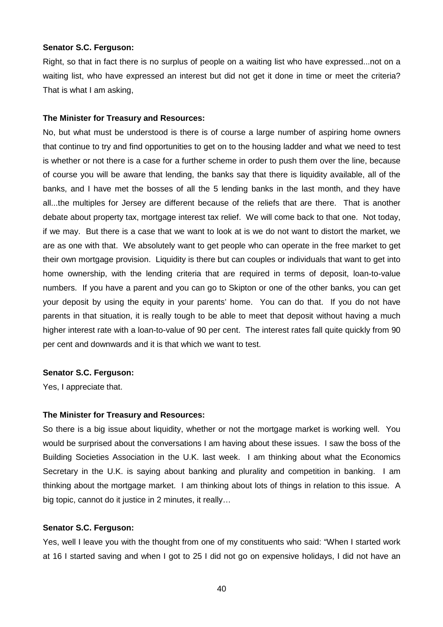#### **Senator S.C. Ferguson:**

Right, so that in fact there is no surplus of people on a waiting list who have expressed...not on a waiting list, who have expressed an interest but did not get it done in time or meet the criteria? That is what I am asking,

#### **The Minister for Treasury and Resources:**

No, but what must be understood is there is of course a large number of aspiring home owners that continue to try and find opportunities to get on to the housing ladder and what we need to test is whether or not there is a case for a further scheme in order to push them over the line, because of course you will be aware that lending, the banks say that there is liquidity available, all of the banks, and I have met the bosses of all the 5 lending banks in the last month, and they have all...the multiples for Jersey are different because of the reliefs that are there. That is another debate about property tax, mortgage interest tax relief. We will come back to that one. Not today, if we may. But there is a case that we want to look at is we do not want to distort the market, we are as one with that. We absolutely want to get people who can operate in the free market to get their own mortgage provision. Liquidity is there but can couples or individuals that want to get into home ownership, with the lending criteria that are required in terms of deposit, loan-to-value numbers. If you have a parent and you can go to Skipton or one of the other banks, you can get your deposit by using the equity in your parents' home. You can do that. If you do not have parents in that situation, it is really tough to be able to meet that deposit without having a much higher interest rate with a loan-to-value of 90 per cent. The interest rates fall quite quickly from 90 per cent and downwards and it is that which we want to test.

#### **Senator S.C. Ferguson:**

Yes, I appreciate that.

#### **The Minister for Treasury and Resources:**

So there is a big issue about liquidity, whether or not the mortgage market is working well. You would be surprised about the conversations I am having about these issues. I saw the boss of the Building Societies Association in the U.K. last week. I am thinking about what the Economics Secretary in the U.K. is saying about banking and plurality and competition in banking. I am thinking about the mortgage market. I am thinking about lots of things in relation to this issue. A big topic, cannot do it justice in 2 minutes, it really…

#### **Senator S.C. Ferguson:**

Yes, well I leave you with the thought from one of my constituents who said: "When I started work at 16 I started saving and when I got to 25 I did not go on expensive holidays, I did not have an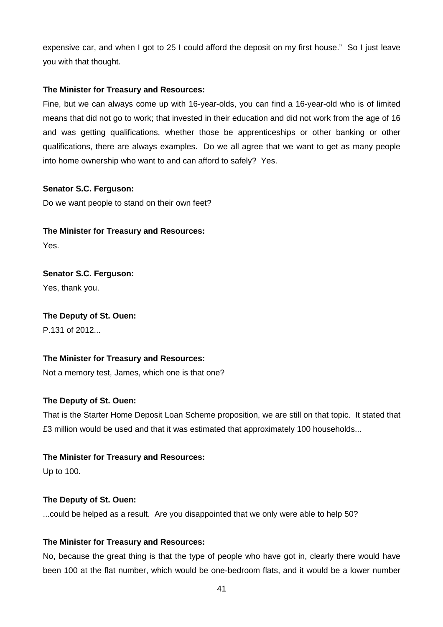expensive car, and when I got to 25 I could afford the deposit on my first house." So I just leave you with that thought.

## **The Minister for Treasury and Resources:**

Fine, but we can always come up with 16-year-olds, you can find a 16-year-old who is of limited means that did not go to work; that invested in their education and did not work from the age of 16 and was getting qualifications, whether those be apprenticeships or other banking or other qualifications, there are always examples. Do we all agree that we want to get as many people into home ownership who want to and can afford to safely? Yes.

## **Senator S.C. Ferguson:**

Do we want people to stand on their own feet?

# **The Minister for Treasury and Resources:**

Yes.

# **Senator S.C. Ferguson:**

Yes, thank you.

## **The Deputy of St. Ouen:**

P.131 of 2012...

# **The Minister for Treasury and Resources:**

Not a memory test, James, which one is that one?

# **The Deputy of St. Ouen:**

That is the Starter Home Deposit Loan Scheme proposition, we are still on that topic. It stated that £3 million would be used and that it was estimated that approximately 100 households...

## **The Minister for Treasury and Resources:**

Up to 100.

# **The Deputy of St. Ouen:**

...could be helped as a result. Are you disappointed that we only were able to help 50?

# **The Minister for Treasury and Resources:**

No, because the great thing is that the type of people who have got in, clearly there would have been 100 at the flat number, which would be one-bedroom flats, and it would be a lower number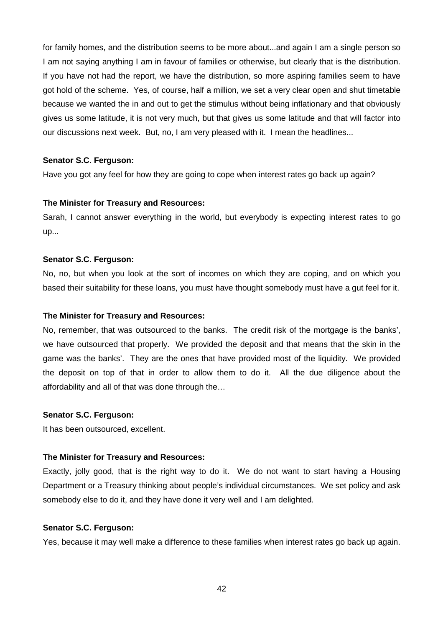for family homes, and the distribution seems to be more about...and again I am a single person so I am not saying anything I am in favour of families or otherwise, but clearly that is the distribution. If you have not had the report, we have the distribution, so more aspiring families seem to have got hold of the scheme. Yes, of course, half a million, we set a very clear open and shut timetable because we wanted the in and out to get the stimulus without being inflationary and that obviously gives us some latitude, it is not very much, but that gives us some latitude and that will factor into our discussions next week. But, no, I am very pleased with it. I mean the headlines...

#### **Senator S.C. Ferguson:**

Have you got any feel for how they are going to cope when interest rates go back up again?

#### **The Minister for Treasury and Resources:**

Sarah, I cannot answer everything in the world, but everybody is expecting interest rates to go up...

#### **Senator S.C. Ferguson:**

No, no, but when you look at the sort of incomes on which they are coping, and on which you based their suitability for these loans, you must have thought somebody must have a gut feel for it.

#### **The Minister for Treasury and Resources:**

No, remember, that was outsourced to the banks. The credit risk of the mortgage is the banks', we have outsourced that properly. We provided the deposit and that means that the skin in the game was the banks'. They are the ones that have provided most of the liquidity. We provided the deposit on top of that in order to allow them to do it. All the due diligence about the affordability and all of that was done through the…

#### **Senator S.C. Ferguson:**

It has been outsourced, excellent.

## **The Minister for Treasury and Resources:**

Exactly, jolly good, that is the right way to do it. We do not want to start having a Housing Department or a Treasury thinking about people's individual circumstances. We set policy and ask somebody else to do it, and they have done it very well and I am delighted.

## **Senator S.C. Ferguson:**

Yes, because it may well make a difference to these families when interest rates go back up again.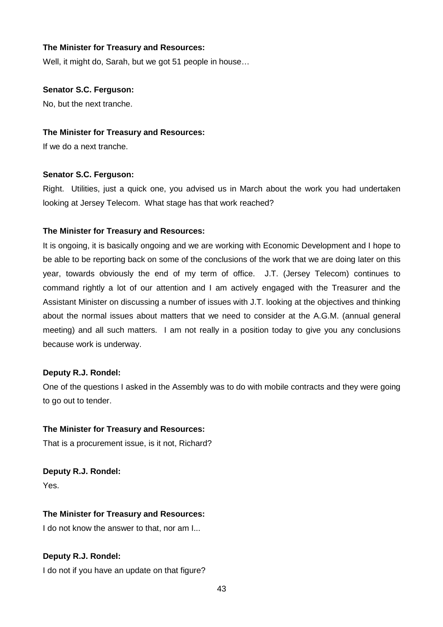Well, it might do, Sarah, but we got 51 people in house…

#### **Senator S.C. Ferguson:**

No, but the next tranche.

#### **The Minister for Treasury and Resources:**

If we do a next tranche.

#### **Senator S.C. Ferguson:**

Right. Utilities, just a quick one, you advised us in March about the work you had undertaken looking at Jersey Telecom. What stage has that work reached?

## **The Minister for Treasury and Resources:**

It is ongoing, it is basically ongoing and we are working with Economic Development and I hope to be able to be reporting back on some of the conclusions of the work that we are doing later on this year, towards obviously the end of my term of office. J.T. (Jersey Telecom) continues to command rightly a lot of our attention and I am actively engaged with the Treasurer and the Assistant Minister on discussing a number of issues with J.T. looking at the objectives and thinking about the normal issues about matters that we need to consider at the A.G.M. (annual general meeting) and all such matters. I am not really in a position today to give you any conclusions because work is underway.

## **Deputy R.J. Rondel:**

One of the questions I asked in the Assembly was to do with mobile contracts and they were going to go out to tender.

## **The Minister for Treasury and Resources:**

That is a procurement issue, is it not, Richard?

**Deputy R.J. Rondel:** Yes.

## **The Minister for Treasury and Resources:**

I do not know the answer to that, nor am I...

## **Deputy R.J. Rondel:**

I do not if you have an update on that figure?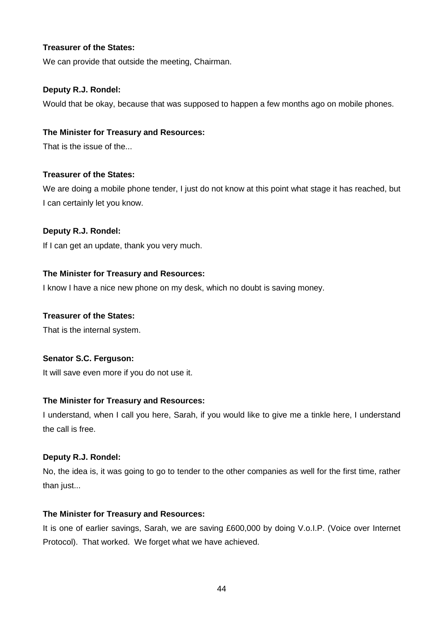## **Treasurer of the States:**

We can provide that outside the meeting, Chairman.

## **Deputy R.J. Rondel:**

Would that be okay, because that was supposed to happen a few months ago on mobile phones.

## **The Minister for Treasury and Resources:**

That is the issue of the...

## **Treasurer of the States:**

We are doing a mobile phone tender, I just do not know at this point what stage it has reached, but I can certainly let you know.

## **Deputy R.J. Rondel:**

If I can get an update, thank you very much.

## **The Minister for Treasury and Resources:**

I know I have a nice new phone on my desk, which no doubt is saving money.

## **Treasurer of the States:**

That is the internal system.

## **Senator S.C. Ferguson:**

It will save even more if you do not use it.

## **The Minister for Treasury and Resources:**

I understand, when I call you here, Sarah, if you would like to give me a tinkle here, I understand the call is free.

## **Deputy R.J. Rondel:**

No, the idea is, it was going to go to tender to the other companies as well for the first time, rather than just...

## **The Minister for Treasury and Resources:**

It is one of earlier savings, Sarah, we are saving £600,000 by doing V.o.I.P. (Voice over Internet Protocol). That worked. We forget what we have achieved.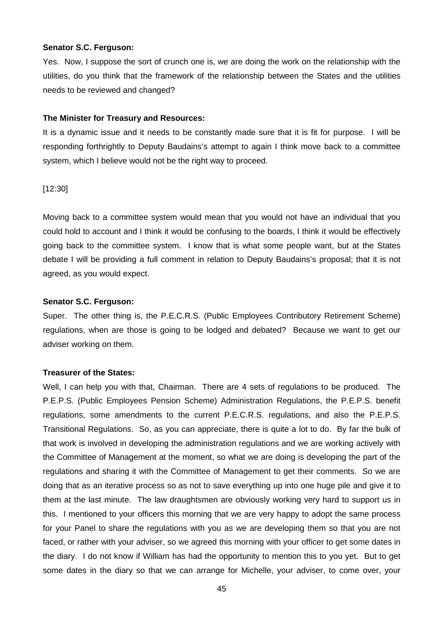#### **Senator S.C. Ferguson:**

Yes. Now, I suppose the sort of crunch one is, we are doing the work on the relationship with the utilities, do you think that the framework of the relationship between the States and the utilities needs to be reviewed and changed?

#### **The Minister for Treasury and Resources:**

It is a dynamic issue and it needs to be constantly made sure that it is fit for purpose. I will be responding forthrightly to Deputy Baudains's attempt to again I think move back to a committee system, which I believe would not be the right way to proceed.

## [12:30]

Moving back to a committee system would mean that you would not have an individual that you could hold to account and I think it would be confusing to the boards, I think it would be effectively going back to the committee system. I know that is what some people want, but at the States debate I will be providing a full comment in relation to Deputy Baudains's proposal; that it is not agreed, as you would expect.

#### **Senator S.C. Ferguson:**

Super. The other thing is, the P.E.C.R.S. (Public Employees Contributory Retirement Scheme) regulations, when are those is going to be lodged and debated? Because we want to get our adviser working on them.

#### **Treasurer of the States:**

Well, I can help you with that, Chairman. There are 4 sets of regulations to be produced. The P.E.P.S. (Public Employees Pension Scheme) Administration Regulations, the P.E.P.S. benefit regulations, some amendments to the current P.E.C.R.S. regulations, and also the P.E.P.S. Transitional Regulations. So, as you can appreciate, there is quite a lot to do. By far the bulk of that work is involved in developing the administration regulations and we are working actively with the Committee of Management at the moment, so what we are doing is developing the part of the regulations and sharing it with the Committee of Management to get their comments. So we are doing that as an iterative process so as not to save everything up into one huge pile and give it to them at the last minute. The law draughtsmen are obviously working very hard to support us in this. I mentioned to your officers this morning that we are very happy to adopt the same process for your Panel to share the regulations with you as we are developing them so that you are not faced, or rather with your adviser, so we agreed this morning with your officer to get some dates in the diary. I do not know if William has had the opportunity to mention this to you yet. But to get some dates in the diary so that we can arrange for Michelle, your adviser, to come over, your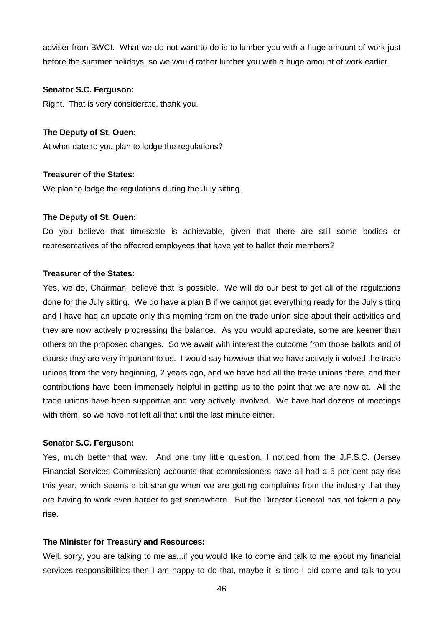adviser from BWCI. What we do not want to do is to lumber you with a huge amount of work just before the summer holidays, so we would rather lumber you with a huge amount of work earlier.

#### **Senator S.C. Ferguson:**

Right. That is very considerate, thank you.

#### **The Deputy of St. Ouen:**

At what date to you plan to lodge the regulations?

#### **Treasurer of the States:**

We plan to lodge the regulations during the July sitting.

#### **The Deputy of St. Ouen:**

Do you believe that timescale is achievable, given that there are still some bodies or representatives of the affected employees that have yet to ballot their members?

## **Treasurer of the States:**

Yes, we do, Chairman, believe that is possible. We will do our best to get all of the regulations done for the July sitting. We do have a plan B if we cannot get everything ready for the July sitting and I have had an update only this morning from on the trade union side about their activities and they are now actively progressing the balance. As you would appreciate, some are keener than others on the proposed changes. So we await with interest the outcome from those ballots and of course they are very important to us. I would say however that we have actively involved the trade unions from the very beginning, 2 years ago, and we have had all the trade unions there, and their contributions have been immensely helpful in getting us to the point that we are now at. All the trade unions have been supportive and very actively involved. We have had dozens of meetings with them, so we have not left all that until the last minute either.

#### **Senator S.C. Ferguson:**

Yes, much better that way. And one tiny little question, I noticed from the J.F.S.C. (Jersey Financial Services Commission) accounts that commissioners have all had a 5 per cent pay rise this year, which seems a bit strange when we are getting complaints from the industry that they are having to work even harder to get somewhere. But the Director General has not taken a pay rise.

#### **The Minister for Treasury and Resources:**

Well, sorry, you are talking to me as...if you would like to come and talk to me about my financial services responsibilities then I am happy to do that, maybe it is time I did come and talk to you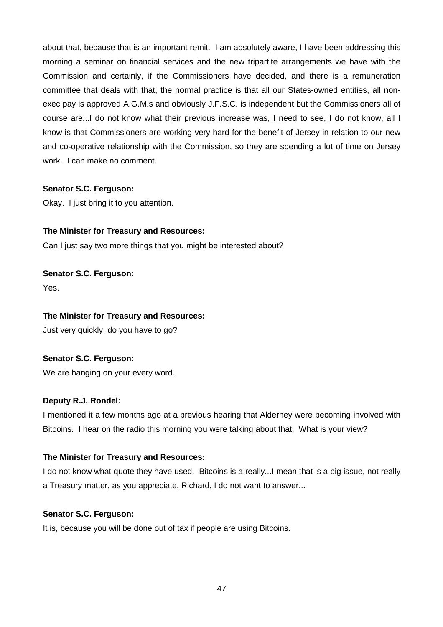about that, because that is an important remit. I am absolutely aware, I have been addressing this morning a seminar on financial services and the new tripartite arrangements we have with the Commission and certainly, if the Commissioners have decided, and there is a remuneration committee that deals with that, the normal practice is that all our States-owned entities, all nonexec pay is approved A.G.M.s and obviously J.F.S.C. is independent but the Commissioners all of course are...I do not know what their previous increase was, I need to see, I do not know, all I know is that Commissioners are working very hard for the benefit of Jersey in relation to our new and co-operative relationship with the Commission, so they are spending a lot of time on Jersey work. I can make no comment.

## **Senator S.C. Ferguson:**

Okay. I just bring it to you attention.

# **The Minister for Treasury and Resources:**

Can I just say two more things that you might be interested about?

# **Senator S.C. Ferguson:**

Yes.

## **The Minister for Treasury and Resources:**

Just very quickly, do you have to go?

# **Senator S.C. Ferguson:**

We are hanging on your every word.

## **Deputy R.J. Rondel:**

I mentioned it a few months ago at a previous hearing that Alderney were becoming involved with Bitcoins. I hear on the radio this morning you were talking about that. What is your view?

## **The Minister for Treasury and Resources:**

I do not know what quote they have used. Bitcoins is a really...I mean that is a big issue, not really a Treasury matter, as you appreciate, Richard, I do not want to answer...

## **Senator S.C. Ferguson:**

It is, because you will be done out of tax if people are using Bitcoins.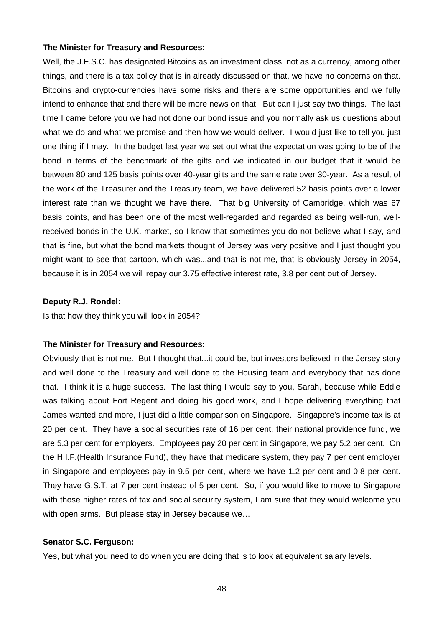Well, the J.F.S.C. has designated Bitcoins as an investment class, not as a currency, among other things, and there is a tax policy that is in already discussed on that, we have no concerns on that. Bitcoins and crypto-currencies have some risks and there are some opportunities and we fully intend to enhance that and there will be more news on that. But can I just say two things. The last time I came before you we had not done our bond issue and you normally ask us questions about what we do and what we promise and then how we would deliver. I would just like to tell you just one thing if I may. In the budget last year we set out what the expectation was going to be of the bond in terms of the benchmark of the gilts and we indicated in our budget that it would be between 80 and 125 basis points over 40-year gilts and the same rate over 30-year. As a result of the work of the Treasurer and the Treasury team, we have delivered 52 basis points over a lower interest rate than we thought we have there. That big University of Cambridge, which was 67 basis points, and has been one of the most well-regarded and regarded as being well-run, wellreceived bonds in the U.K. market, so I know that sometimes you do not believe what I say, and that is fine, but what the bond markets thought of Jersey was very positive and I just thought you might want to see that cartoon, which was...and that is not me, that is obviously Jersey in 2054, because it is in 2054 we will repay our 3.75 effective interest rate, 3.8 per cent out of Jersey.

#### **Deputy R.J. Rondel:**

Is that how they think you will look in 2054?

#### **The Minister for Treasury and Resources:**

Obviously that is not me. But I thought that...it could be, but investors believed in the Jersey story and well done to the Treasury and well done to the Housing team and everybody that has done that. I think it is a huge success. The last thing I would say to you, Sarah, because while Eddie was talking about Fort Regent and doing his good work, and I hope delivering everything that James wanted and more, I just did a little comparison on Singapore. Singapore's income tax is at 20 per cent. They have a social securities rate of 16 per cent, their national providence fund, we are 5.3 per cent for employers. Employees pay 20 per cent in Singapore, we pay 5.2 per cent. On the H.I.F.(Health Insurance Fund), they have that medicare system, they pay 7 per cent employer in Singapore and employees pay in 9.5 per cent, where we have 1.2 per cent and 0.8 per cent. They have G.S.T. at 7 per cent instead of 5 per cent. So, if you would like to move to Singapore with those higher rates of tax and social security system, I am sure that they would welcome you with open arms. But please stay in Jersey because we…

#### **Senator S.C. Ferguson:**

Yes, but what you need to do when you are doing that is to look at equivalent salary levels.